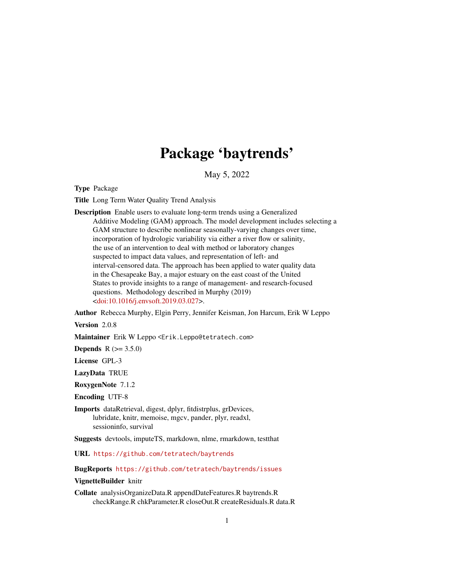# Package 'baytrends'

May 5, 2022

<span id="page-0-0"></span>Type Package

Title Long Term Water Quality Trend Analysis

Description Enable users to evaluate long-term trends using a Generalized Additive Modeling (GAM) approach. The model development includes selecting a GAM structure to describe nonlinear seasonally-varying changes over time, incorporation of hydrologic variability via either a river flow or salinity, the use of an intervention to deal with method or laboratory changes suspected to impact data values, and representation of left- and interval-censored data. The approach has been applied to water quality data in the Chesapeake Bay, a major estuary on the east coast of the United States to provide insights to a range of management- and research-focused questions. Methodology described in Murphy (2019) [<doi:10.1016/j.envsoft.2019.03.027>](https://doi.org/10.1016/j.envsoft.2019.03.027).

Author Rebecca Murphy, Elgin Perry, Jennifer Keisman, Jon Harcum, Erik W Leppo

Version 2.0.8

Maintainer Erik W Leppo <Erik.Leppo@tetratech.com>

**Depends**  $R (= 3.5.0)$ 

License GPL-3

LazyData TRUE

RoxygenNote 7.1.2

Encoding UTF-8

Imports dataRetrieval, digest, dplyr, fitdistrplus, grDevices, lubridate, knitr, memoise, mgcv, pander, plyr, readxl, sessioninfo, survival

Suggests devtools, imputeTS, markdown, nlme, rmarkdown, testthat

URL <https://github.com/tetratech/baytrends>

BugReports <https://github.com/tetratech/baytrends/issues>

# VignetteBuilder knitr

Collate analysisOrganizeData.R appendDateFeatures.R baytrends.R checkRange.R chkParameter.R closeOut.R createResiduals.R data.R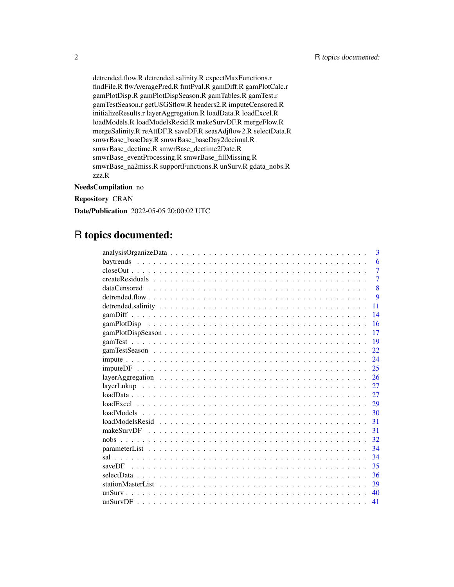detrended.flow.R detrended.salinity.R expectMaxFunctions.r findFile.R flwAveragePred.R fmtPval.R gamDiff.R gamPlotCalc.r gamPlotDisp.R gamPlotDispSeason.R gamTables.R gamTest.r gamTestSeason.r getUSGSflow.R headers2.R imputeCensored.R initializeResults.r layerAggregation.R loadData.R loadExcel.R loadModels.R loadModelsResid.R makeSurvDF.R mergeFlow.R mergeSalinity.R reAttDF.R saveDF.R seasAdjflow2.R selectData.R smwrBase\_baseDay.R smwrBase\_baseDay2decimal.R smwrBase\_dectime.R smwrBase\_dectime2Date.R smwrBase\_eventProcessing.R smwrBase\_fillMissing.R smwrBase\_na2miss.R supportFunctions.R unSurv.R gdata\_nobs.R zzz.R

#### NeedsCompilation no

Repository CRAN

Date/Publication 2022-05-05 20:00:02 UTC

# R topics documented:

|     | 3              |
|-----|----------------|
|     | 6              |
|     | $\overline{7}$ |
|     | $\overline{7}$ |
|     | $\overline{8}$ |
|     | 9              |
| 11  |                |
| 14  |                |
| 16  |                |
| 17  |                |
| 19  |                |
| 22. |                |
| 24  |                |
| 25  |                |
| 26  |                |
| 27  |                |
| 27  |                |
| 29  |                |
| 30  |                |
| 31  |                |
| 31  |                |
| 32  |                |
| 34  |                |
| 34  |                |
| 35  |                |
| 36  |                |
| 39  |                |
| 40  |                |
| 41  |                |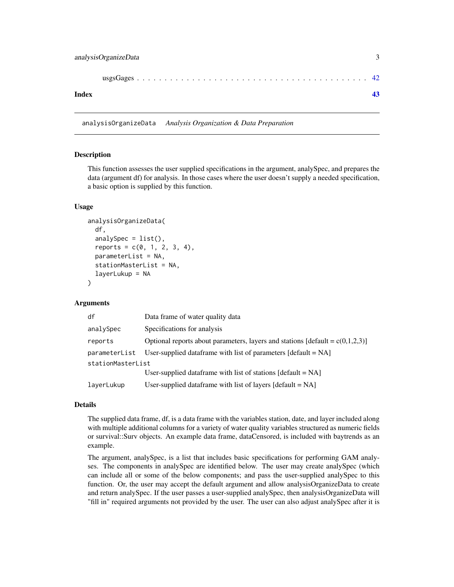<span id="page-2-0"></span>

| Index |  |
|-------|--|

analysisOrganizeData *Analysis Organization & Data Preparation*

#### Description

This function assesses the user supplied specifications in the argument, analySpec, and prepares the data (argument df) for analysis. In those cases where the user doesn't supply a needed specification, a basic option is supplied by this function.

#### Usage

```
analysisOrganizeData(
  df,
  analySpec = list(),
  reports = c(0, 1, 2, 3, 4),parameterList = NA,
  stationMasterList = NA,
  layerLukup = NA
)
```
#### **Arguments**

| df                | Data frame of water quality data                                                           |  |
|-------------------|--------------------------------------------------------------------------------------------|--|
| analySpec         | Specifications for analysis                                                                |  |
| reports           | Optional reports about parameters, layers and stations $\left[default = c(0,1,2,3)\right]$ |  |
| parameterList     | User-supplied data frame with list of parameters $\lceil$ default = NA $\rceil$            |  |
| stationMasterList |                                                                                            |  |
|                   | User-supplied data frame with list of stations $\lceil detault = NA \rceil$                |  |
| layerLukup        | User-supplied data frame with list of layers $\lceil$ default = NA $\rceil$                |  |

#### Details

The supplied data frame, df, is a data frame with the variables station, date, and layer included along with multiple additional columns for a variety of water quality variables structured as numeric fields or survival::Surv objects. An example data frame, dataCensored, is included with baytrends as an example.

The argument, analySpec, is a list that includes basic specifications for performing GAM analyses. The components in analySpec are identified below. The user may create analySpec (which can include all or some of the below components; and pass the user-supplied analySpec to this function. Or, the user may accept the default argument and allow analysisOrganizeData to create and return analySpec. If the user passes a user-supplied analySpec, then analysisOrganizeData will "fill in" required arguments not provided by the user. The user can also adjust analySpec after it is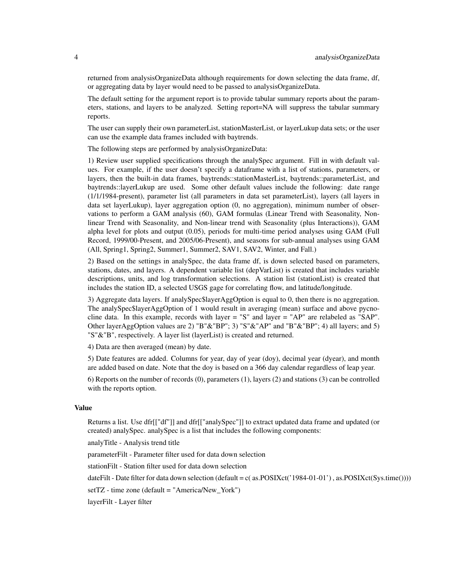returned from analysisOrganizeData although requirements for down selecting the data frame, df, or aggregating data by layer would need to be passed to analysisOrganizeData.

The default setting for the argument report is to provide tabular summary reports about the parameters, stations, and layers to be analyzed. Setting report=NA will suppress the tabular summary reports.

The user can supply their own parameterList, stationMasterList, or layerLukup data sets; or the user can use the example data frames included with baytrends.

The following steps are performed by analysisOrganizeData:

1) Review user supplied specifications through the analySpec argument. Fill in with default values. For example, if the user doesn't specify a dataframe with a list of stations, parameters, or layers, then the built-in data frames, baytrends::stationMasterList, baytrends::parameterList, and baytrends::layerLukup are used. Some other default values include the following: date range (1/1/1984-present), parameter list (all parameters in data set parameterList), layers (all layers in data set layerLukup), layer aggregation option (0, no aggregation), minimum number of observations to perform a GAM analysis (60), GAM formulas (Linear Trend with Seasonality, Nonlinear Trend with Seasonality, and Non-linear trend with Seasonality (plus Interactions)), GAM alpha level for plots and output (0.05), periods for multi-time period analyses using GAM (Full Record, 1999/00-Present, and 2005/06-Present), and seasons for sub-annual analyses using GAM (All, Spring1, Spring2, Summer1, Summer2, SAV1, SAV2, Winter, and Fall.)

2) Based on the settings in analySpec, the data frame df, is down selected based on parameters, stations, dates, and layers. A dependent variable list (depVarList) is created that includes variable descriptions, units, and log transformation selections. A station list (stationList) is created that includes the station ID, a selected USGS gage for correlating flow, and latitude/longitude.

3) Aggregate data layers. If analySpec\$layerAggOption is equal to 0, then there is no aggregation. The analySpec\$layerAggOption of 1 would result in averaging (mean) surface and above pycnocline data. In this example, records with layer = "S" and layer = "AP" are relabeled as "SAP". Other layerAggOption values are 2) "B"&"BP"; 3) "S"&"AP" and "B"&"BP"; 4) all layers; and 5) "S"&"B", respectively. A layer list (layerList) is created and returned.

4) Data are then averaged (mean) by date.

5) Date features are added. Columns for year, day of year (doy), decimal year (dyear), and month are added based on date. Note that the doy is based on a 366 day calendar regardless of leap year.

6) Reports on the number of records (0), parameters (1), layers (2) and stations (3) can be controlled with the reports option.

# Value

Returns a list. Use dfr[["df"]] and dfr[["analySpec"]] to extract updated data frame and updated (or created) analySpec. analySpec is a list that includes the following components:

analyTitle - Analysis trend title

parameterFilt - Parameter filter used for data down selection

stationFilt - Station filter used for data down selection

dateFilt - Date filter for data down selection (default = c( as.POSIXct('1984-01-01'), as.POSIXct(Sys.time())))

setTZ - time zone (default = "America/New\_York")

layerFilt - Layer filter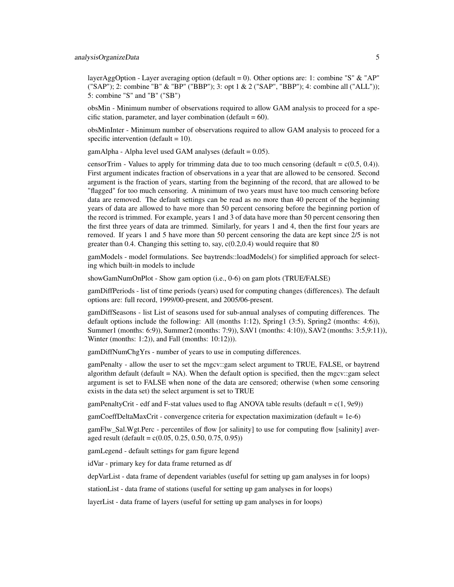layerAggOption - Layer averaging option (default = 0). Other options are: 1: combine "S" & "AP" ("SAP"); 2: combine "B" & "BP" ("BBP"); 3: opt 1 & 2 ("SAP", "BBP"); 4: combine all ("ALL")); 5: combine "S" and "B" ("SB")

obsMin - Minimum number of observations required to allow GAM analysis to proceed for a specific station, parameter, and layer combination (default  $= 60$ ).

obsMinInter - Minimum number of observations required to allow GAM analysis to proceed for a specific intervention (default  $= 10$ ).

gamAlpha - Alpha level used GAM analyses (default  $= 0.05$ ).

censorTrim - Values to apply for trimming data due to too much censoring (default =  $c(0.5, 0.4)$ ). First argument indicates fraction of observations in a year that are allowed to be censored. Second argument is the fraction of years, starting from the beginning of the record, that are allowed to be "flagged" for too much censoring. A minimum of two years must have too much censoring before data are removed. The default settings can be read as no more than 40 percent of the beginning years of data are allowed to have more than 50 percent censoring before the beginning portion of the record is trimmed. For example, years 1 and 3 of data have more than 50 percent censoring then the first three years of data are trimmed. Similarly, for years 1 and 4, then the first four years are removed. If years 1 and 5 have more than 50 percent censoring the data are kept since 2/5 is not greater than  $0.4$ . Changing this setting to, say,  $c(0.2,0.4)$  would require that 80

gamModels - model formulations. See baytrends::loadModels() for simplified approach for selecting which built-in models to include

showGamNumOnPlot - Show gam option (i.e., 0-6) on gam plots (TRUE/FALSE)

gamDiffPeriods - list of time periods (years) used for computing changes (differences). The default options are: full record, 1999/00-present, and 2005/06-present.

gamDiffSeasons - list List of seasons used for sub-annual analyses of computing differences. The default options include the following: All (months 1:12), Spring1 (3:5), Spring2 (months: 4:6)), Summer1 (months: 6:9)), Summer2 (months: 7:9)), SAV1 (months: 4:10)), SAV2 (months: 3:5,9:11)), Winter (months: 1:2)), and Fall (months: 10:12))).

gamDiffNumChgYrs - number of years to use in computing differences.

gamPenalty - allow the user to set the mgcv::gam select argument to TRUE, FALSE, or baytrend algorithm default (default  $= NA$ ). When the default option is specified, then the mgcv::gam select argument is set to FALSE when none of the data are censored; otherwise (when some censoring exists in the data set) the select argument is set to TRUE

gamPenaltyCrit - edf and F-stat values used to flag ANOVA table results (default =  $c(1, 9e9)$ )

gamCoeffDeltaMaxCrit - convergence criteria for expectation maximization (default = 1e-6)

gamFlw\_Sal.Wgt.Perc - percentiles of flow [or salinity] to use for computing flow [salinity] averaged result (default =  $c(0.05, 0.25, 0.50, 0.75, 0.95)$ )

gamLegend - default settings for gam figure legend

idVar - primary key for data frame returned as df

depVarList - data frame of dependent variables (useful for setting up gam analyses in for loops)

stationList - data frame of stations (useful for setting up gam analyses in for loops)

layerList - data frame of layers (useful for setting up gam analyses in for loops)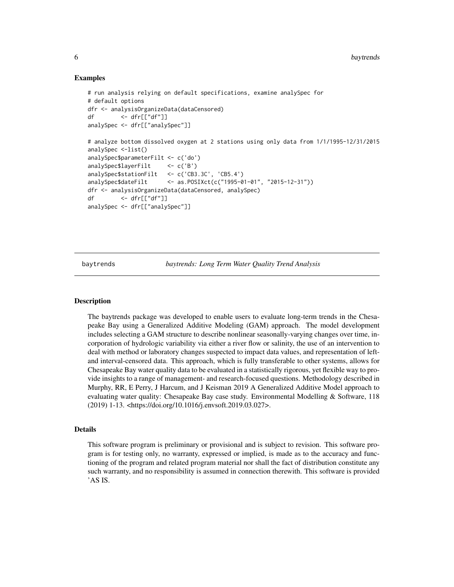#### Examples

```
# run analysis relying on default specifications, examine analySpec for
# default options
dfr <- analysisOrganizeData(dataCensored)
df <- dfr[["df"]]
analySpec <- dfr[["analySpec"]]
# analyze bottom dissolved oxygen at 2 stations using only data from 1/1/1995-12/31/2015
analySpec <-list()
analySpec$parameterFilt <- c('do')
analySpec$layerFilt <- c('B')
analySpec$stationFilt <- c('CB3.3C', 'CB5.4')
analySpec$dateFilt <- as.POSIXct(c("1995-01-01", "2015-12-31"))
dfr <- analysisOrganizeData(dataCensored, analySpec)
df <- dfr[["df"]]
analySpec <- dfr[["analySpec"]]
```
baytrends *baytrends: Long Term Water Quality Trend Analysis*

#### Description

The baytrends package was developed to enable users to evaluate long-term trends in the Chesapeake Bay using a Generalized Additive Modeling (GAM) approach. The model development includes selecting a GAM structure to describe nonlinear seasonally-varying changes over time, incorporation of hydrologic variability via either a river flow or salinity, the use of an intervention to deal with method or laboratory changes suspected to impact data values, and representation of leftand interval-censored data. This approach, which is fully transferable to other systems, allows for Chesapeake Bay water quality data to be evaluated in a statistically rigorous, yet flexible way to provide insights to a range of management- and research-focused questions. Methodology described in Murphy, RR, E Perry, J Harcum, and J Keisman 2019 A Generalized Additive Model approach to evaluating water quality: Chesapeake Bay case study. Environmental Modelling & Software, 118 (2019) 1-13. <https://doi.org/10.1016/j.envsoft.2019.03.027>.

# Details

This software program is preliminary or provisional and is subject to revision. This software program is for testing only, no warranty, expressed or implied, is made as to the accuracy and functioning of the program and related program material nor shall the fact of distribution constitute any such warranty, and no responsibility is assumed in connection therewith. This software is provided 'AS IS.

<span id="page-5-0"></span>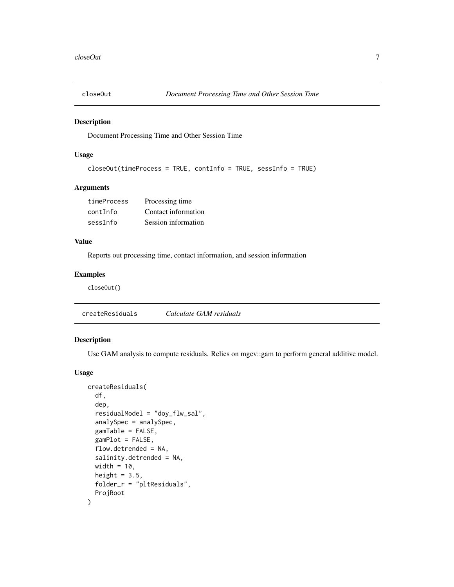<span id="page-6-0"></span>

Document Processing Time and Other Session Time

# Usage

```
closeOut(timeProcess = TRUE, contInfo = TRUE, sessInfo = TRUE)
```
# Arguments

| timeProcess | Processing time     |
|-------------|---------------------|
| contInfo    | Contact information |
| sessInfo    | Session information |

# Value

Reports out processing time, contact information, and session information

# Examples

closeOut()

createResiduals *Calculate GAM residuals*

# Description

Use GAM analysis to compute residuals. Relies on mgcv::gam to perform general additive model.

#### Usage

```
createResiduals(
 df,
  dep,
  residualModel = "doy_flw_sal",
  analySpec = analySpec,
 gamTable = FALSE,
 gamPlot = FALSE,
 flow.detrended = NA,
  salinity.detrended = NA,
 width = 10,
 height = 3.5,
 folder_r = "pltResiduals",
 ProjRoot
)
```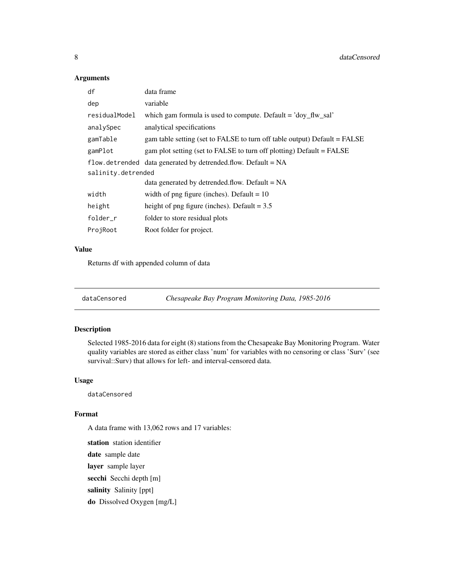# Arguments

| data frame                                                                |  |  |
|---------------------------------------------------------------------------|--|--|
| variable                                                                  |  |  |
| which gam formula is used to compute. Default $=$ 'doy_flw_sal'           |  |  |
| analytical specifications                                                 |  |  |
| gam table setting (set to FALSE to turn off table output) Default = FALSE |  |  |
| gam plot setting (set to FALSE to turn off plotting) Default = FALSE      |  |  |
| flow. detrended data generated by detrended. flow. Default $= NA$         |  |  |
| salinity.detrended                                                        |  |  |
| data generated by detrended.flow. Default = $NA$                          |  |  |
| width of png figure (inches). Default = $10$                              |  |  |
| height of png figure (inches). Default = $3.5$                            |  |  |
| folder to store residual plots                                            |  |  |
| Root folder for project.                                                  |  |  |
|                                                                           |  |  |

# Value

Returns df with appended column of data

| dataCensored | Chesapeake Bay Program Monitoring Data, 1985-2016 |  |
|--------------|---------------------------------------------------|--|
|              |                                                   |  |

# Description

Selected 1985-2016 data for eight (8) stations from the Chesapeake Bay Monitoring Program. Water quality variables are stored as either class 'num' for variables with no censoring or class 'Surv' (see survival::Surv) that allows for left- and interval-censored data.

# Usage

dataCensored

# Format

A data frame with 13,062 rows and 17 variables:

station station identifier date sample date layer sample layer secchi Secchi depth [m] salinity Salinity [ppt] do Dissolved Oxygen [mg/L]

<span id="page-7-0"></span>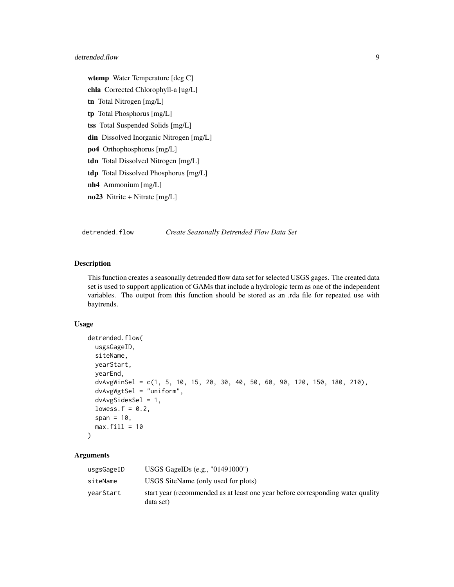#### <span id="page-8-0"></span>detrended.flow 9

wtemp Water Temperature [deg C] chla Corrected Chlorophyll-a [ug/L] tn Total Nitrogen [mg/L] tp Total Phosphorus [mg/L] tss Total Suspended Solids [mg/L] din Dissolved Inorganic Nitrogen [mg/L] po4 Orthophosphorus [mg/L] tdn Total Dissolved Nitrogen [mg/L] tdp Total Dissolved Phosphorus [mg/L] nh4 Ammonium [mg/L]  $\textbf{no23}$  Nitrite + Nitrate  $\text{[mg/L]}$ 

<span id="page-8-1"></span>detrended.flow *Create Seasonally Detrended Flow Data Set*

#### Description

This function creates a seasonally detrended flow data set for selected USGS gages. The created data set is used to support application of GAMs that include a hydrologic term as one of the independent variables. The output from this function should be stored as an .rda file for repeated use with baytrends.

#### Usage

```
detrended.flow(
  usgsGageID,
  siteName,
 yearStart,
  yearEnd,
  dvAvgWinSel = c(1, 5, 10, 15, 20, 30, 40, 50, 60, 90, 120, 150, 180, 210),
  dvAvgWgtSel = "uniform",
  dvAvgSidesSel = 1,
  lowess.f = 0.2,
  span = 10,
 max.fill = 10)
```
# Arguments

| usgsGageID | USGS GageIDs $(e.g., "01491000")$                                                            |
|------------|----------------------------------------------------------------------------------------------|
| siteName   | USGS SiteName (only used for plots)                                                          |
| vearStart  | start year (recommended as at least one year before corresponding water quality<br>data set) |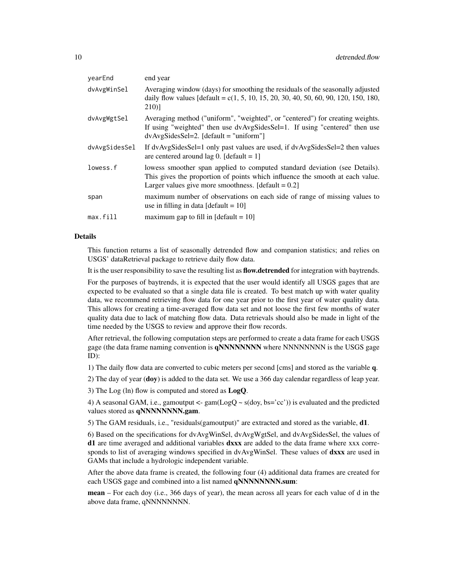| vearEnd       | end year                                                                                                                                                                                                             |
|---------------|----------------------------------------------------------------------------------------------------------------------------------------------------------------------------------------------------------------------|
| dvAvgWinSel   | Averaging window (days) for smoothing the residuals of the seasonally adjusted<br>daily flow values $\text{[default = } c(1, 5, 10, 15, 20, 30, 40, 50, 60, 90, 120, 150, 180,$<br>210)                              |
| dvAvgWgtSel   | Averaging method ("uniform", "weighted", or "centered") for creating weights.<br>If using "weighted" then use dvAvgSidesSel=1. If using "centered" then use<br>$dvAvgSidesSel=2. [default = "uniform"]$              |
| dvAvgSidesSel | If dvAvgSidesSel=1 only past values are used, if dvAvgSidesSel=2 then values<br>are centered around lag 0. [default = $1$ ]                                                                                          |
| lowess.f      | lowess smoother span applied to computed standard deviation (see Details).<br>This gives the proportion of points which influence the smooth at each value.<br>Larger values give more smoothness. $[default = 0.2]$ |
| span          | maximum number of observations on each side of range of missing values to<br>use in filling in data [default = $10$ ]                                                                                                |
| max.fill      | maximum gap to fill in $\text{[default = 10]}$                                                                                                                                                                       |
|               |                                                                                                                                                                                                                      |

#### Details

This function returns a list of seasonally detrended flow and companion statistics; and relies on USGS' dataRetrieval package to retrieve daily flow data.

It is the user responsibility to save the resulting list as flow.detrended for integration with baytrends.

For the purposes of baytrends, it is expected that the user would identify all USGS gages that are expected to be evaluated so that a single data file is created. To best match up with water quality data, we recommend retrieving flow data for one year prior to the first year of water quality data. This allows for creating a time-averaged flow data set and not loose the first few months of water quality data due to lack of matching flow data. Data retrievals should also be made in light of the time needed by the USGS to review and approve their flow records.

After retrieval, the following computation steps are performed to create a data frame for each USGS gage (the data frame naming convention is qNNNNNNNNN where NNNNNNNNN is the USGS gage ID):

1) The daily flow data are converted to cubic meters per second [cms] and stored as the variable q.

2) The day of year (doy) is added to the data set. We use a 366 day calendar regardless of leap year.

3) The Log (ln) flow is computed and stored as  $LogQ$ .

4) A seasonal GAM, i.e., gamoutput  $\leq$ - gam $(\text{LogQ} \sim s(\text{day, bs} = c^*))$  is evaluated and the predicted values stored as qNNNNNNNN.gam.

5) The GAM residuals, i.e., "residuals(gamoutput)" are extracted and stored as the variable, d1.

6) Based on the specifications for dvAvgWinSel, dvAvgWgtSel, and dvAvgSidesSel, the values of d1 are time averaged and additional variables dxxx are added to the data frame where xxx corresponds to list of averaging windows specified in dvAvgWinSel. These values of dxxx are used in GAMs that include a hydrologic independent variable.

After the above data frame is created, the following four (4) additional data frames are created for each USGS gage and combined into a list named qNNNNNNNN.sum:

mean – For each doy (i.e., 366 days of year), the mean across all years for each value of d in the above data frame, qNNNNNNNN.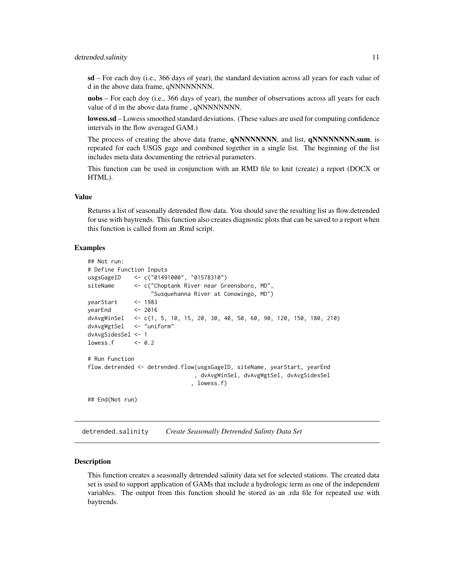#### <span id="page-10-0"></span>detrended.salinity 11

 $sd$  – For each doy (i.e., 366 days of year), the standard deviation across all years for each value of d in the above data frame, qNNNNNNNN.

nobs – For each doy (i.e., 366 days of year), the number of observations across all years for each value of d in the above data frame, qNNNNNNNN.

lowess.sd – Lowess smoothed standard deviations. (These values are used for computing confidence intervals in the flow averaged GAM.)

The process of creating the above data frame, **qNNNNNNNN,** and list, **qNNNNNNNN.sum**, is repeated for each USGS gage and combined together in a single list. The beginning of the list includes meta data documenting the retrieval parameters.

This function can be used in conjunction with an RMD file to knit (create) a report (DOCX or HTML).

#### Value

Returns a list of seasonally detrended flow data. You should save the resulting list as flow.detrended for use with baytrends. This function also creates diagnostic plots that can be saved to a report when this function is called from an .Rmd script.

#### Examples

```
## Not run:
# Define Function Inputs
usgsGageID <- c("01491000", "01578310")
siteName <- c("Choptank River near Greensboro, MD",
                  "Susquehanna River at Conowingo, MD")
yearStart <- 1983
yearEnd <- 2016
dvAvgWinSel <- c(1, 5, 10, 15, 20, 30, 40, 50, 60, 90, 120, 150, 180, 210)
dvAvgWgtSel <- "uniform"
dvAvgSidesSel <- 1
lowess.f \leq -0.2# Run Function
flow.detrended <- detrended.flow(usgsGageID, siteName, yearStart, yearEnd
                               , dvAvgWinSel, dvAvgWgtSel, dvAvgSidesSel
                              , lowess.f)
## End(Not run)
```
<span id="page-10-1"></span>detrended.salinity *Create Seasonally Detrended Salinty Data Set*

#### Description

This function creates a seasonally detrended salinity data set for selected stations. The created data set is used to support application of GAMs that include a hydrologic term as one of the independent variables. The output from this function should be stored as an .rda file for repeated use with baytrends.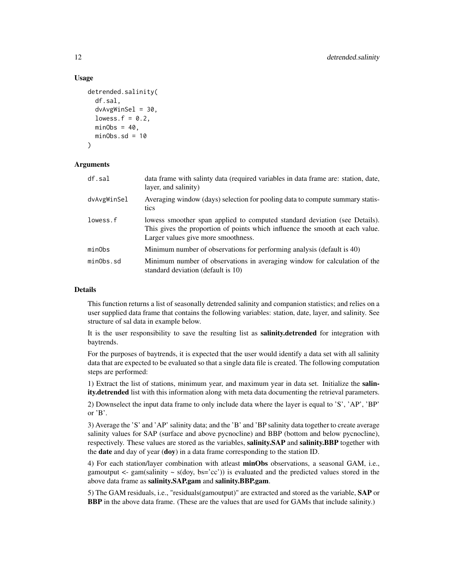#### Usage

```
detrended.salinity(
  df.sal,
  dvAvgWinsel = 30,
  lowess.f = 0.2,
  minObs = 40,
 minObs.sd = 10)
```
#### Arguments

| df.sal      | data frame with salinty data (required variables in data frame are: station, date,<br>layer, and salinity)                                                                                         |
|-------------|----------------------------------------------------------------------------------------------------------------------------------------------------------------------------------------------------|
| dvAvgWinSel | Averaging window (days) selection for pooling data to compute summary statis-<br>tics                                                                                                              |
| lowess.f    | lowess smoother span applied to computed standard deviation (see Details).<br>This gives the proportion of points which influence the smooth at each value.<br>Larger values give more smoothness. |
| minObs      | Minimum number of observations for performing analysis (default is 40)                                                                                                                             |
| minObs.sd   | Minimum number of observations in averaging window for calculation of the<br>standard deviation (default is 10)                                                                                    |

#### Details

This function returns a list of seasonally detrended salinity and companion statistics; and relies on a user supplied data frame that contains the following variables: station, date, layer, and salinity. See structure of sal data in example below.

It is the user responsibility to save the resulting list as **salinity.detrended** for integration with baytrends.

For the purposes of baytrends, it is expected that the user would identify a data set with all salinity data that are expected to be evaluated so that a single data file is created. The following computation steps are performed:

1) Extract the list of stations, minimum year, and maximum year in data set. Initialize the salin**ity.detrended** list with this information along with meta data documenting the retrieval parameters.

2) Downselect the input data frame to only include data where the layer is equal to 'S', 'AP', 'BP' or 'B'.

3) Average the 'S' and 'AP' salinity data; and the 'B' and 'BP salinity data together to create average salinity values for SAP (surface and above pycnocline) and BBP (bottom and below pycnocline), respectively. These values are stored as the variables, salinity.SAP and salinity.BBP together with the date and day of year (doy) in a data frame corresponding to the station ID.

4) For each station/layer combination with atleast **minObs** observations, a seasonal GAM, i.e., gamoutput  $\leq$ - gam(salinity  $\sim$  s(doy, bs='cc')) is evaluated and the predicted values stored in the above data frame as salinity.SAP.gam and salinity.BBP.gam.

5) The GAM residuals, i.e., "residuals(gamoutput)" are extracted and stored as the variable, SAP or BBP in the above data frame. (These are the values that are used for GAMs that include salinity.)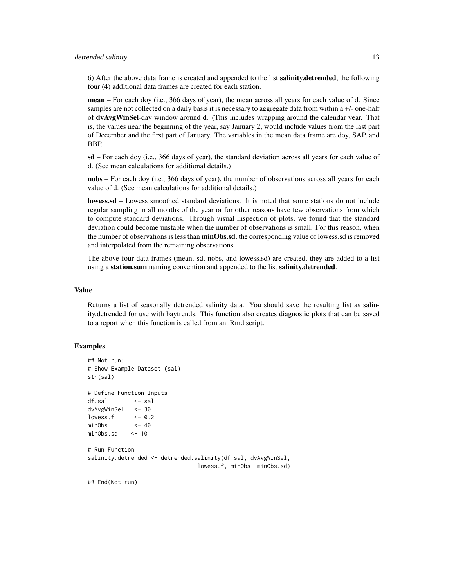#### detrended.salinity 13

6) After the above data frame is created and appended to the list salinity.detrended, the following four (4) additional data frames are created for each station.

mean – For each doy (i.e., 366 days of year), the mean across all years for each value of d. Since samples are not collected on a daily basis it is necessary to aggregate data from within a +/- one-half of dvAvgWinSel-day window around d. (This includes wrapping around the calendar year. That is, the values near the beginning of the year, say January 2, would include values from the last part of December and the first part of January. The variables in the mean data frame are doy, SAP, and BBP.

sd – For each doy (i.e., 366 days of year), the standard deviation across all years for each value of d. (See mean calculations for additional details.)

nobs – For each doy (i.e., 366 days of year), the number of observations across all years for each value of d. (See mean calculations for additional details.)

lowess.sd – Lowess smoothed standard deviations. It is noted that some stations do not include regular sampling in all months of the year or for other reasons have few observations from which to compute standard deviations. Through visual inspection of plots, we found that the standard deviation could become unstable when the number of observations is small. For this reason, when the number of observations is less than **minObs.sd**, the corresponding value of lowess.sd is removed and interpolated from the remaining observations.

The above four data frames (mean, sd, nobs, and lowess.sd) are created, they are added to a list using a station.sum naming convention and appended to the list salinity.detrended.

# Value

Returns a list of seasonally detrended salinity data. You should save the resulting list as salinity.detrended for use with baytrends. This function also creates diagnostic plots that can be saved to a report when this function is called from an .Rmd script.

```
## Not run:
# Show Example Dataset (sal)
str(sal)
# Define Function Inputs
df.sal <- sal
dvAvgWinSel <- 30
lowess.f \leq -0.2minObs <- 40
minObs.sd <- 10
# Run Function
salinity.detrended <- detrended.salinity(df.sal, dvAvgWinSel,
                               lowess.f, minObs, minObs.sd)
## End(Not run)
```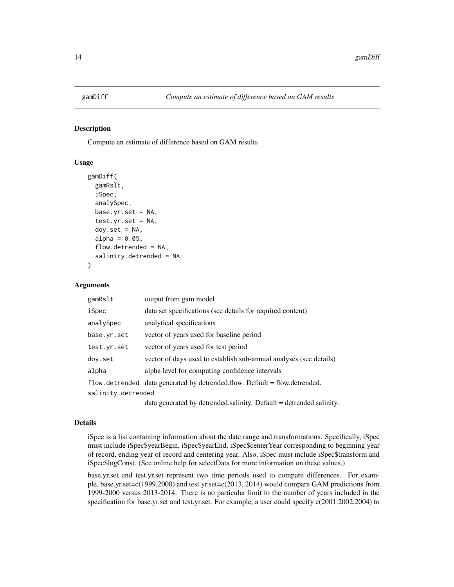<span id="page-13-0"></span>

Compute an estimate of difference based on GAM results

# Usage

```
gamDiff(
  gamRslt,
  iSpec,
  analySpec,
  base.yr.set = NA,
  test.yr.set = NA,
  \text{day.set} = \text{NA},
  alpha = 0.05,
  flow.detrended = NA,
  salinity.detrended = NA
\mathcal{E}
```
#### Arguments

| gamRslt            | output from gam model                                                         |
|--------------------|-------------------------------------------------------------------------------|
| iSpec              | data set specifications (see details for required content)                    |
| analySpec          | analytical specifications                                                     |
| base.yr.set        | vector of years used for baseline period                                      |
| test.yr.set        | vector of years used for test period                                          |
| doy.set            | vector of days used to establish sub-annual analyses (see details)            |
| alpha              | alpha level for computing confidence intervals                                |
|                    | flow. detrended data generated by detrended. flow. Default = flow. detrended. |
| salinity.detrended |                                                                               |
|                    | $11$ 1 $1$ 1 $1$ 1 $1$ $1$ $1$ $1$ $1$ $1$ $1$ $1$ $1$                        |

data generated by detrended.salinity. Default = detrended.salinity.

#### Details

iSpec is a list containing information about the date range and transformations. Specifically, iSpec must include iSpec\$yearBegin, iSpec\$yearEnd, iSpec\$centerYear corresponding to beginning year of record, ending year of record and centering year. Also, iSpec must include iSpec\$transform and iSpec\$logConst. (See online help for selectData for more information on these values.)

base.yr.set and test.yr.set represent two time periods used to compare differences. For example, base.yr.set=c(1999,2000) and test.yr.set=c(2013, 2014) would compare GAM predictions from 1999-2000 versus 2013-2014. There is no particular limit to the number of years included in the specification for base.yr.set and test.yr.set. For example, a user could specify c(2001:2002,2004) to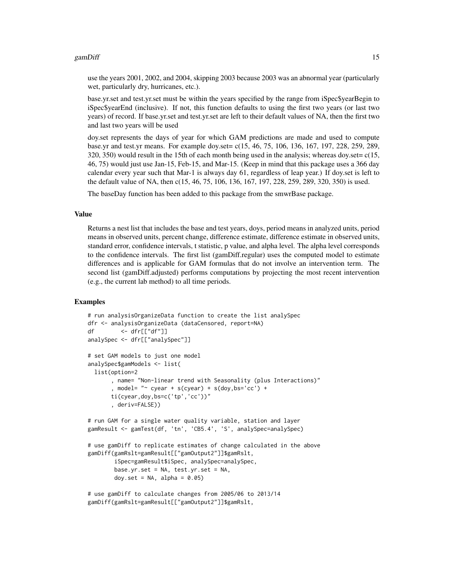#### gamDiff 15

use the years 2001, 2002, and 2004, skipping 2003 because 2003 was an abnormal year (particularly wet, particularly dry, hurricanes, etc.).

base.yr.set and test.yr.set must be within the years specified by the range from iSpec\$yearBegin to iSpec\$yearEnd (inclusive). If not, this function defaults to using the first two years (or last two years) of record. If base.yr.set and test.yr.set are left to their default values of NA, then the first two and last two years will be used

doy.set represents the days of year for which GAM predictions are made and used to compute base.yr and test.yr means. For example doy.set= c(15, 46, 75, 106, 136, 167, 197, 228, 259, 289, 320, 350) would result in the 15th of each month being used in the analysis; whereas doy.set= $c(15, 15)$ 46, 75) would just use Jan-15, Feb-15, and Mar-15. (Keep in mind that this package uses a 366 day calendar every year such that Mar-1 is always day 61, regardless of leap year.) If doy.set is left to the default value of NA, then c(15, 46, 75, 106, 136, 167, 197, 228, 259, 289, 320, 350) is used.

The baseDay function has been added to this package from the smwrBase package.

#### Value

Returns a nest list that includes the base and test years, doys, period means in analyzed units, period means in observed units, percent change, difference estimate, difference estimate in observed units, standard error, confidence intervals, t statistic, p value, and alpha level. The alpha level corresponds to the confidence intervals. The first list (gamDiff.regular) uses the computed model to estimate differences and is applicable for GAM formulas that do not involve an intervention term. The second list (gamDiff.adjusted) performs computations by projecting the most recent intervention (e.g., the current lab method) to all time periods.

```
# run analysisOrganizeData function to create the list analySpec
dfr <- analysisOrganizeData (dataCensored, report=NA)
df <- dfr[["df"]]
analySpec <- dfr[["analySpec"]]
# set GAM models to just one model
analySpec$gamModels <- list(
 list(option=2
      , name= "Non-linear trend with Seasonality (plus Interactions)"
       , model= "\sim cyear + s(cyear) + s(doy, bs='cc') +
      ti(cyear,doy,bs=c('tp','cc'))"
       , deriv=FALSE))
# run GAM for a single water quality variable, station and layer
gamResult <- gamTest(df, 'tn', 'CB5.4', 'S', analySpec=analySpec)
# use gamDiff to replicate estimates of change calculated in the above
gamDiff(gamRslt=gamResult[["gamOutput2"]]$gamRslt,
        iSpec=gamResult$iSpec, analySpec=analySpec,
       base.yr.set = NA, test.yr.set = NA,
       doy.set = NA, alpha = 0.05)
# use gamDiff to calculate changes from 2005/06 to 2013/14
```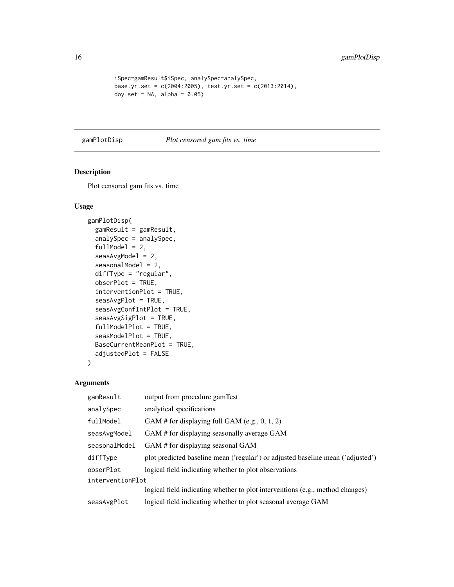```
iSpec=gamResult$iSpec, analySpec=analySpec,
base.yr.set = c(2004:2005), test.yr.set = c(2013:2014),
doy.set = NA, alpha = 0.05)
```
#### <span id="page-15-1"></span>gamPlotDisp *Plot censored gam fits vs. time*

# Description

Plot censored gam fits vs. time

# Usage

```
gamPlotDisp(
 gamResult = gamResult,
  analySpec = analySpec,
  fullModel = 2,seasAvgModel = 2,
  seasonalModel = 2,
  diffType = "regular",
  obserPlot = TRUE,
  interventionPlot = TRUE,
  seasAvgPlot = TRUE,
  seasAvgConfIntPlot = TRUE,
  seasAvgSigPlot = TRUE,
  fullModelPlot = TRUE,
  seasModelPlot = TRUE,
  BaseCurrentMeanPlot = TRUE,
  adjustedPlot = FALSE
\mathcal{L}
```
# Arguments

| output from procedure gamTest                                                   |  |
|---------------------------------------------------------------------------------|--|
| analytical specifications                                                       |  |
| GAM # for displaying full GAM (e.g., $0, 1, 2$ )                                |  |
| GAM # for displaying seasonally average GAM                                     |  |
| GAM # for displaying seasonal GAM                                               |  |
| plot predicted baseline mean ('regular') or adjusted baseline mean ('adjusted') |  |
| logical field indicating whether to plot observations                           |  |
| interventionPlot                                                                |  |
| logical field indicating whether to plot interventions (e.g., method changes)   |  |
| logical field indicating whether to plot seasonal average GAM                   |  |
|                                                                                 |  |

<span id="page-15-0"></span>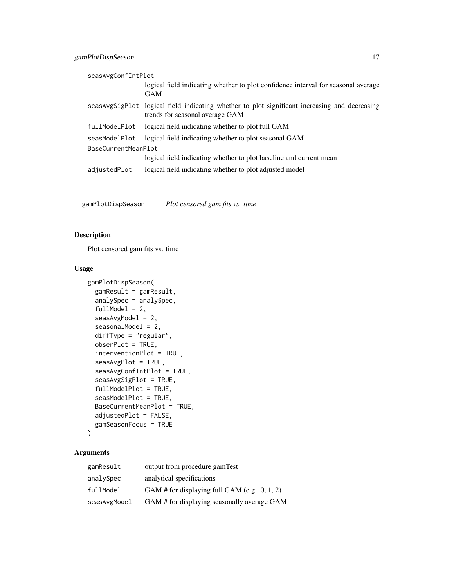<span id="page-16-0"></span>

|                     | seasAvgConfIntPlot |                                                                                                                                  |  |
|---------------------|--------------------|----------------------------------------------------------------------------------------------------------------------------------|--|
|                     |                    | logical field indicating whether to plot confidence interval for seasonal average                                                |  |
|                     |                    | <b>GAM</b>                                                                                                                       |  |
|                     |                    | seasAvgSigPlot logical field indicating whether to plot significant increasing and decreasing<br>trends for seasonal average GAM |  |
|                     | fullModelPlot      | logical field indicating whether to plot full GAM                                                                                |  |
|                     | seasModelPlot      | logical field indicating whether to plot seasonal GAM                                                                            |  |
| BaseCurrentMeanPlot |                    |                                                                                                                                  |  |
|                     |                    | logical field indicating whether to plot baseline and current mean                                                               |  |
|                     | adjustedPlot       | logical field indicating whether to plot adjusted model                                                                          |  |
|                     |                    |                                                                                                                                  |  |

gamPlotDispSeason *Plot censored gam fits vs. time*

# Description

Plot censored gam fits vs. time

# Usage

```
gamPlotDispSeason(
 gamResult = gamResult,
  analySpec = analySpec,
  fullModel = 2,seasAvgModel = 2,
  seasonalModel = 2,
  diffType = "regular",
  obserPlot = TRUE,
  interventionPlot = TRUE,
  seasAvgPlot = TRUE,
  seasAvgConfIntPlot = TRUE,
  seasAvgSigPlot = TRUE,
  fullModelPlot = TRUE,
  seasModelPlot = TRUE,
  BaseCurrentMeanPlot = TRUE,
  adjustedPlot = FALSE,
  gamSeasonFocus = TRUE
\mathcal{L}
```
# Arguments

| gamResult    | output from procedure gamTest                    |
|--------------|--------------------------------------------------|
| analySpec    | analytical specifications                        |
| fullModel    | GAM # for displaying full GAM (e.g., $0, 1, 2$ ) |
| seasAvgModel | GAM # for displaying seasonally average GAM      |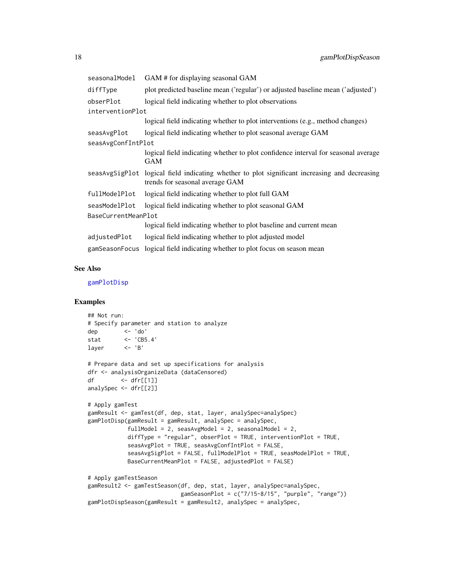<span id="page-17-0"></span>

| seasonalModel       | GAM # for displaying seasonal GAM                                                                                                |
|---------------------|----------------------------------------------------------------------------------------------------------------------------------|
| diffType            | plot predicted baseline mean ('regular') or adjusted baseline mean ('adjusted')                                                  |
| obserPlot           | logical field indicating whether to plot observations                                                                            |
| interventionPlot    |                                                                                                                                  |
|                     | logical field indicating whether to plot interventions (e.g., method changes)                                                    |
| seasAvgPlot         | logical field indicating whether to plot seasonal average GAM                                                                    |
| seasAvgConfIntPlot  |                                                                                                                                  |
|                     | logical field indicating whether to plot confidence interval for seasonal average<br><b>GAM</b>                                  |
|                     | seasAvgSigPlot logical field indicating whether to plot significant increasing and decreasing<br>trends for seasonal average GAM |
| fullModelPlot       | logical field indicating whether to plot full GAM                                                                                |
| seasModelPlot       | logical field indicating whether to plot seasonal GAM                                                                            |
| BaseCurrentMeanPlot |                                                                                                                                  |
|                     | logical field indicating whether to plot baseline and current mean                                                               |
| adjustedPlot        | logical field indicating whether to plot adjusted model                                                                          |
|                     | gamSeasonFocus logical field indicating whether to plot focus on season mean                                                     |

#### See Also

[gamPlotDisp](#page-15-1)

```
## Not run:
# Specify parameter and station to analyze
dep <- 'do'
stat <- 'CB5.4'
layer \leftarrow 'B'# Prepare data and set up specifications for analysis
dfr <- analysisOrganizeData (dataCensored)
df <- dfr[[1]]
analySpec <- dfr[[2]]
# Apply gamTest
gamResult <- gamTest(df, dep, stat, layer, analySpec=analySpec)
gamPlotDisp(gamResult = gamResult, analySpec = analySpec,
            fullModel = 2, seasAvgModel = 2, seasonalModel = 2,
            diffType = "regular", obserPlot = TRUE, interventionPlot = TRUE,
            seasAvgPlot = TRUE, seasAvgConfIntPlot = FALSE,
            seasAvgSigPlot = FALSE, fullModelPlot = TRUE, seasModelPlot = TRUE,
            BaseCurrentMeanPlot = FALSE, adjustedPlot = FALSE)
# Apply gamTestSeason
gamResult2 <- gamTestSeason(df, dep, stat, layer, analySpec=analySpec,
                           gamSeasonPlot = c("7/15-8/15", "purple", "range")gamPlotDispSeason(gamResult = gamResult2, analySpec = analySpec,
```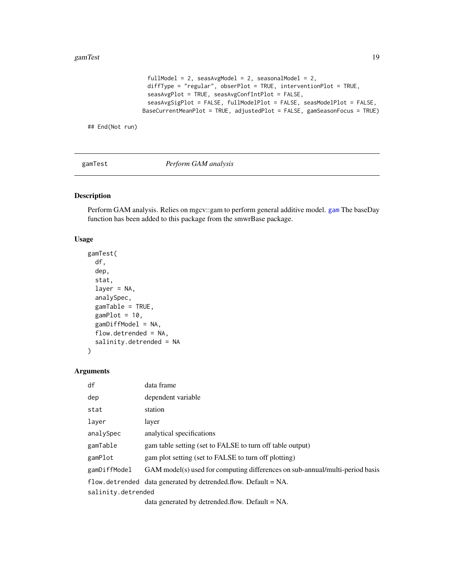```
fullModel = 2, seasAvgModel = 2, seasonalModel = 2,
 diffType = "regular", obserPlot = TRUE, interventionPlot = TRUE,
 seasAvgPlot = TRUE, seasAvgConfIntPlot = FALSE,
 seasAvgSigPlot = FALSE, fullModelPlot = FALSE, seasModelPlot = FALSE,
BaseCurrentMeanPlot = TRUE, adjustedPlot = FALSE, gamSeasonFocus = TRUE)
```
## End(Not run)

<span id="page-18-1"></span>gamTest *Perform GAM analysis*

# Description

Perform GAM analysis. Relies on mgcv::gam to perform general additive model. [gam](#page-0-0) The baseDay function has been added to this package from the smwrBase package.

#### Usage

```
gamTest(
  df,
  dep,
  stat,
  layer = NA,
  analySpec,
  gamTable = TRUE,
  gamPlot = 10,
  gamDiffModel = NA,
  flow.detrended = NA,
  salinity.detrended = NA
\mathcal{E}
```
# Arguments

| df                 | data frame                                                                   |
|--------------------|------------------------------------------------------------------------------|
| dep                | dependent variable                                                           |
| stat               | station                                                                      |
| laver              | layer                                                                        |
| analySpec          | analytical specifications                                                    |
| gamTable           | gam table setting (set to FALSE to turn off table output)                    |
| gamPlot            | gam plot setting (set to FALSE to turn off plotting)                         |
| gamDiffModel       | GAM model(s) used for computing differences on sub-annual/multi-period basis |
|                    | flow detrended data generated by detrended flow. Default $= NA$ .            |
| salinity.detrended |                                                                              |
|                    | $\det$ as a second $\det$ defined as $\det$                                  |

data generated by detrended.flow. Default = NA.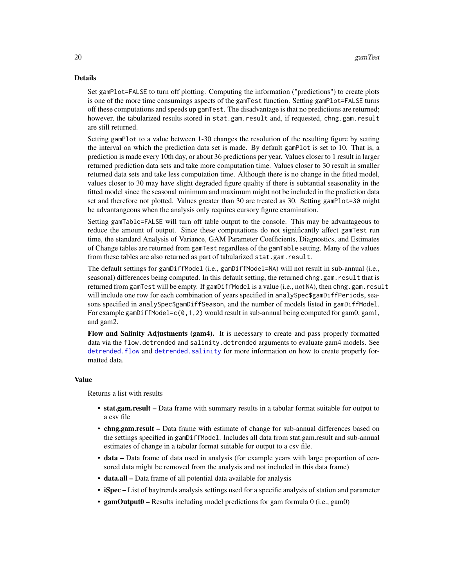#### <span id="page-19-0"></span>Details

Set gamPlot=FALSE to turn off plotting. Computing the information ("predictions") to create plots is one of the more time consumings aspects of the gamTest function. Setting gamPlot=FALSE turns off these computations and speeds up gamTest. The disadvantage is that no predictions are returned; however, the tabularized results stored in stat.gam.result and, if requested, chng.gam.result are still returned.

Setting gamPlot to a value between 1-30 changes the resolution of the resulting figure by setting the interval on which the prediction data set is made. By default gamPlot is set to 10. That is, a prediction is made every 10th day, or about 36 predictions per year. Values closer to 1 result in larger returned prediction data sets and take more computation time. Values closer to 30 result in smaller returned data sets and take less computation time. Although there is no change in the fitted model, values closer to 30 may have slight degraded figure quality if there is subtantial seasonality in the fitted model since the seasonal minimum and maximum might not be included in the prediction data set and therefore not plotted. Values greater than 30 are treated as 30. Setting gamPlot=30 might be advantangeous when the analysis only requires cursory figure examination.

Setting gamTable=FALSE will turn off table output to the console. This may be advantageous to reduce the amount of output. Since these computations do not significantly affect gamTest run time, the standard Analysis of Variance, GAM Parameter Coefficients, Diagnostics, and Estimates of Change tables are returned from gamTest regardless of the gamTable setting. Many of the values from these tables are also returned as part of tabularized stat.gam.result.

The default settings for gamDiffModel (i.e., gamDiffModel=NA) will not result in sub-annual (i.e., seasonal) differences being computed. In this default setting, the returned chng.gam.result that is returned from gamTest will be empty. If gamDiffModel is a value (i.e., not NA), then chng.gam.result will include one row for each combination of years specified in analySpec\$gamDiffPeriods, seasons specified in analySpec\$gamDiffSeason, and the number of models listed in gamDiffModel. For example gamDiffModel=c( $0,1,2$ ) would result in sub-annual being computed for gam0, gam1, and gam2.

Flow and Salinity Adjustments (gam4). It is necessary to create and pass properly formatted data via the flow.detrended and salinity.detrended arguments to evaluate gam4 models. See [detrended.flow](#page-8-1) and [detrended.salinity](#page-10-1) for more information on how to create properly formatted data.

#### Value

Returns a list with results

- stat.gam.result Data frame with summary results in a tabular format suitable for output to a csv file
- chng.gam.result Data frame with estimate of change for sub-annual differences based on the settings specified in gamDiffModel. Includes all data from stat.gam.result and sub-annual estimates of change in a tabular format suitable for output to a csv file.
- data Data frame of data used in analysis (for example years with large proportion of censored data might be removed from the analysis and not included in this data frame)
- **data.all** Data frame of all potential data available for analysis
- **iSpec** List of baytrends analysis settings used for a specific analysis of station and parameter
- gamOutput0 Results including model predictions for gam formula 0 (i.e., gam0)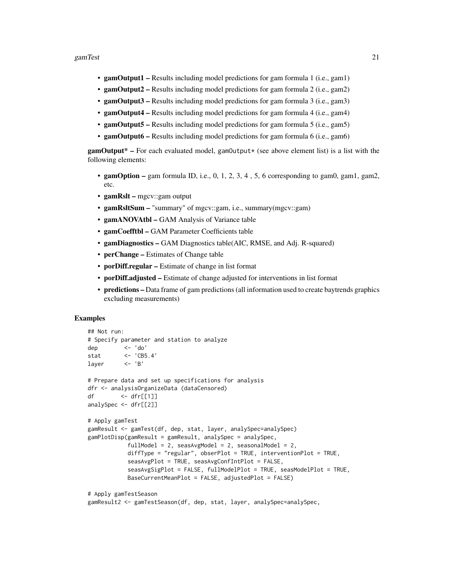#### gamTest 21

- gamOutput1 Results including model predictions for gam formula 1 (i.e., gam1)
- gamOutput2 Results including model predictions for gam formula 2 (i.e., gam2)
- gamOutput3 Results including model predictions for gam formula 3 (i.e., gam3)
- gamOutput4 Results including model predictions for gam formula 4 (i.e., gam4)
- gamOutput5 Results including model predictions for gam formula 5 (i.e., gam5)
- gamOutput6 Results including model predictions for gam formula 6 (i.e., gam6)

 $\text{gamOutput*}$  – For each evaluated model,  $\text{gamOutput*}$  (see above element list) is a list with the following elements:

- gamOption gam formula ID, i.e., 0, 1, 2, 3, 4, 5, 6 corresponding to gam0, gam1, gam2, etc.
- gamRslt mgcv::gam output
- gamRsltSum "summary" of mgcv::gam, i.e., summary(mgcv::gam)
- gamANOVAtbl GAM Analysis of Variance table
- gamCoefftbl GAM Parameter Coefficients table
- gamDiagnostics GAM Diagnostics table(AIC, RMSE, and Adj. R-squared)
- **perChange** Estimates of Change table
- **porDiff.regular** Estimate of change in list format
- porDiff.adjusted Estimate of change adjusted for interventions in list format
- predictions Data frame of gam predictions (all information used to create baytrends graphics excluding measurements)

```
## Not run:
# Specify parameter and station to analyze
dep <- 'do'
stat <- 'CB5.4'
layer <- 'B'
# Prepare data and set up specifications for analysis
dfr <- analysisOrganizeData (dataCensored)
df <- dfr[[1]]
analySpec <- dfr[[2]]
# Apply gamTest
gamResult <- gamTest(df, dep, stat, layer, analySpec=analySpec)
gamPlotDisp(gamResult = gamResult, analySpec = analySpec,
           fullModel = 2, seasAvgModel = 2, seasonalModel = 2,
           diffType = "regular", obserPlot = TRUE, interventionPlot = TRUE,
           seasAvgPlot = TRUE, seasAvgConfIntPlot = FALSE,
           seasAvgSigPlot = FALSE, fullModelPlot = TRUE, seasModelPlot = TRUE,
           BaseCurrentMeanPlot = FALSE, adjustedPlot = FALSE)
# Apply gamTestSeason
```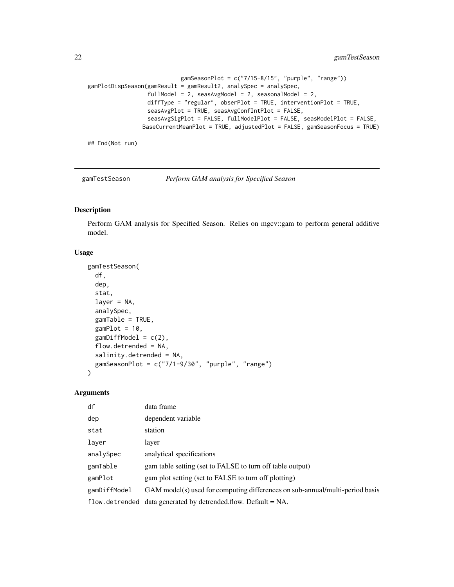```
gamSeasonPlot = c("7/15-8/15", "purple", "range")gamPlotDispSeason(gamResult = gamResult2, analySpec = analySpec,
                 fullModel = 2, seasAvgModel = 2, seasonalModel = 2,
                 diffType = "regular", obserPlot = TRUE, interventionPlot = TRUE,
                 seasAvgPlot = TRUE, seasAvgConfIntPlot = FALSE,
                 seasAvgSigPlot = FALSE, fullModelPlot = FALSE, seasModelPlot = FALSE,
                BaseCurrentMeanPlot = TRUE, adjustedPlot = FALSE, gamSeasonFocus = TRUE)
```
## End(Not run)

gamTestSeason *Perform GAM analysis for Specified Season*

# Description

Perform GAM analysis for Specified Season. Relies on mgcv::gam to perform general additive model.

# Usage

```
gamTestSeason(
  df,
  dep,
  stat,
  layer = NA,
  analySpec,
  gamTable = TRUE,
  gamPlot = 10,gamDiffModel = c(2),
  flow.detrended = NA,
  salinity.detrended = NA,
  gamSeasonPlot = c("7/1-9/30", "purple", "range")
)
```
#### Arguments

| df           | data frame                                                                   |
|--------------|------------------------------------------------------------------------------|
| dep          | dependent variable                                                           |
| stat         | station                                                                      |
| layer        | layer                                                                        |
| analySpec    | analytical specifications                                                    |
| gamTable     | gam table setting (set to FALSE to turn off table output)                    |
| gamPlot      | gam plot setting (set to FALSE to turn off plotting)                         |
| gamDiffModel | GAM model(s) used for computing differences on sub-annual/multi-period basis |
|              | flow. detrended data generated by detrended. flow. Default $= NA$ .          |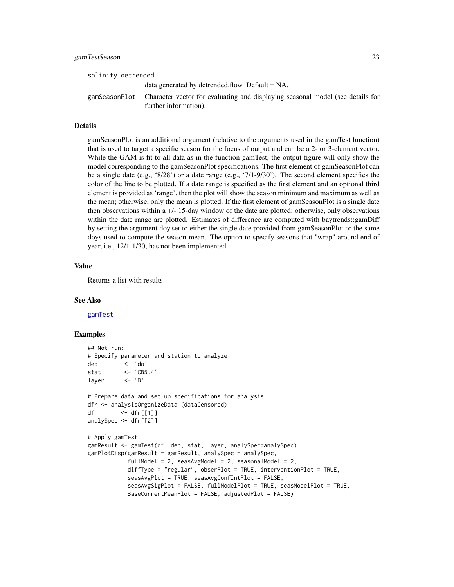<span id="page-22-0"></span>

| salinity.detrended |                                                                                                                       |
|--------------------|-----------------------------------------------------------------------------------------------------------------------|
|                    | data generated by detrended flow. Default $= NA$ .                                                                    |
|                    | gamSeasonPlot Character vector for evaluating and displaying seasonal model (see details for<br>further information). |

# Details

gamSeasonPlot is an additional argument (relative to the arguments used in the gamTest function) that is used to target a specific season for the focus of output and can be a 2- or 3-element vector. While the GAM is fit to all data as in the function gamTest, the output figure will only show the model corresponding to the gamSeasonPlot specifications. The first element of gamSeasonPlot can be a single date (e.g., '8/28') or a date range (e.g., '7/1-9/30'). The second element specifies the color of the line to be plotted. If a date range is specified as the first element and an optional third element is provided as 'range', then the plot will show the season minimum and maximum as well as the mean; otherwise, only the mean is plotted. If the first element of gamSeasonPlot is a single date then observations within a +/- 15-day window of the date are plotted; otherwise, only observations within the date range are plotted. Estimates of difference are computed with baytrends::gamDiff by setting the argument doy.set to either the single date provided from gamSeasonPlot or the same doys used to compute the season mean. The option to specify seasons that "wrap" around end of year, i.e., 12/1-1/30, has not been implemented.

#### Value

Returns a list with results

#### See Also

[gamTest](#page-18-1)

```
## Not run:
# Specify parameter and station to analyze
dep <- 'do'
stat <- 'CB5.4'
layer <- 'B'
# Prepare data and set up specifications for analysis
dfr <- analysisOrganizeData (dataCensored)
df <- dfr[[1]]
analySpec <- dfr[[2]]
# Apply gamTest
gamResult <- gamTest(df, dep, stat, layer, analySpec=analySpec)
gamPlotDisp(gamResult = gamResult, analySpec = analySpec,
           fullModel = 2, seasAvgModel = 2, seasonalModel = 2,
           diffType = "regular", obserPlot = TRUE, interventionPlot = TRUE,
           seasAvgPlot = TRUE, seasAvgConfIntPlot = FALSE,
           seasAvgSigPlot = FALSE, fullModelPlot = TRUE, seasModelPlot = TRUE,
           BaseCurrentMeanPlot = FALSE, adjustedPlot = FALSE)
```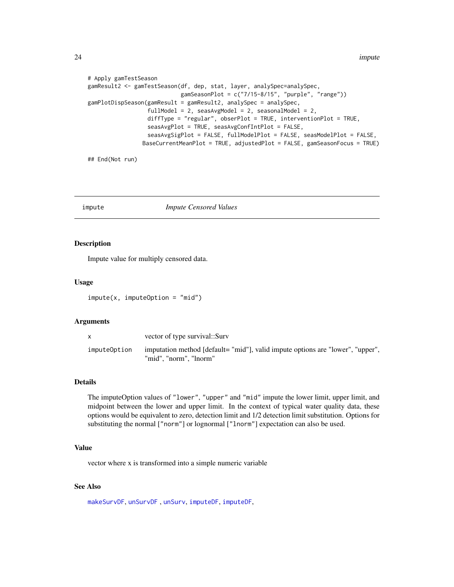<span id="page-23-0"></span>24 **impute** 

```
# Apply gamTestSeason
gamResult2 <- gamTestSeason(df, dep, stat, layer, analySpec=analySpec,
                            gamSeasonPlot = c("7/15-8/15", "purple", "range"))
gamPlotDispSeason(gamResult = gamResult2, analySpec = analySpec,
                  fullModel = 2, seasAvgModel = 2, seasonalModel = 2,
                  diffType = "regular", obserPlot = TRUE, interventionPlot = TRUE,
                  seasAvgPlot = TRUE, seasAvgConfIntPlot = FALSE,
                  seasAvgSigPlot = FALSE, fullModelPlot = FALSE, seasModelPlot = FALSE,
                BaseCurrentMeanPlot = TRUE, adjustedPlot = FALSE, gamSeasonFocus = TRUE)
```
## End(Not run)

# <span id="page-23-1"></span>impute *Impute Censored Values*

#### Description

Impute value for multiply censored data.

#### Usage

impute(x, imputeOption = "mid")

#### Arguments

|              | vector of type survival::Surv                                                                           |
|--------------|---------------------------------------------------------------------------------------------------------|
| imputeOption | imputation method [default="mid"], valid impute options are "lower", "upper",<br>"mid". "norm". "lnorm" |

# Details

The imputeOption values of "lower", "upper" and "mid" impute the lower limit, upper limit, and midpoint between the lower and upper limit. In the context of typical water quality data, these options would be equivalent to zero, detection limit and 1/2 detection limit substitution. Options for substituting the normal ["norm"] or lognormal ["lnorm"] expectation can also be used.

#### Value

vector where x is transformed into a simple numeric variable

#### See Also

[makeSurvDF](#page-30-1), [unSurvDF](#page-40-1) , [unSurv](#page-39-1), [imputeDF](#page-24-1), [imputeDF](#page-24-1),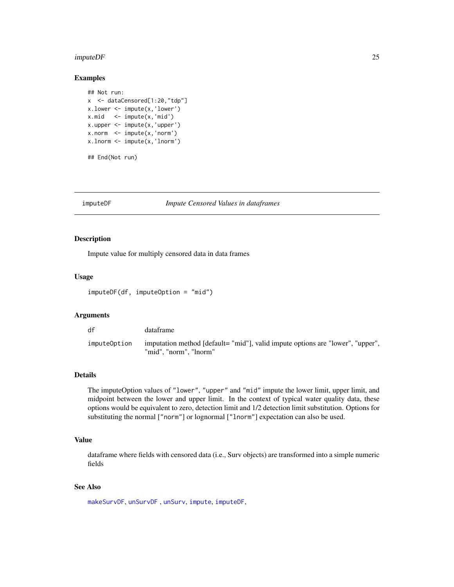#### <span id="page-24-0"></span> $imputeDF$  25

# Examples

```
## Not run:
x <- dataCensored[1:20,"tdp"]
x.lower <- impute(x,'lower')
x.mid \le -impute(x,'mid')x.upper <- impute(x,'upper')
x.norm < -impute(x, 'norm')x.lnorm <- impute(x,'lnorm')
## End(Not run)
```
<span id="page-24-1"></span>

#### imputeDF *Impute Censored Values in dataframes*

#### Description

Impute value for multiply censored data in data frames

#### Usage

imputeDF(df, imputeOption = "mid")

#### Arguments

| df           | dataframe                                                                                               |
|--------------|---------------------------------------------------------------------------------------------------------|
| imputeOption | imputation method [default="mid"], valid impute options are "lower", "upper",<br>"mid". "norm". "lnorm" |

# Details

The imputeOption values of "lower", "upper" and "mid" impute the lower limit, upper limit, and midpoint between the lower and upper limit. In the context of typical water quality data, these options would be equivalent to zero, detection limit and 1/2 detection limit substitution. Options for substituting the normal ["norm"] or lognormal ["lnorm"] expectation can also be used.

# Value

dataframe where fields with censored data (i.e., Surv objects) are transformed into a simple numeric fields

#### See Also

[makeSurvDF](#page-30-1), [unSurvDF](#page-40-1) , [unSurv](#page-39-1), [impute](#page-23-1), [imputeDF](#page-24-1),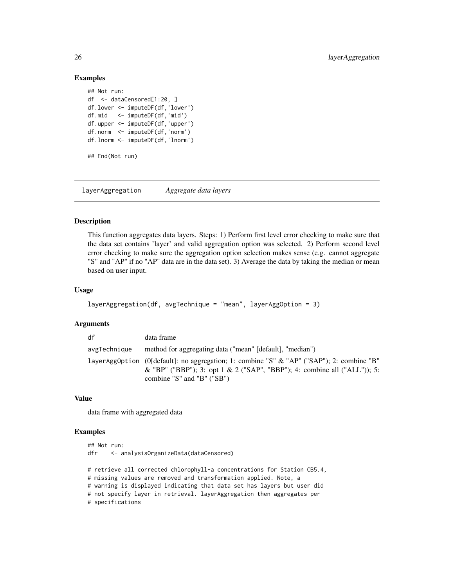#### Examples

```
## Not run:
df <- dataCensored[1:20, ]
df.lower <- imputeDF(df,'lower')
df.mid <- imputeDF(df,'mid')
df.upper <- imputeDF(df,'upper')
df.norm <- imputeDF(df,'norm')
df.lnorm <- imputeDF(df,'lnorm')
## End(Not run)
```
layerAggregation *Aggregate data layers*

#### Description

This function aggregates data layers. Steps: 1) Perform first level error checking to make sure that the data set contains 'layer' and valid aggregation option was selected. 2) Perform second level error checking to make sure the aggregation option selection makes sense (e.g. cannot aggregate "S" and "AP" if no "AP" data are in the data set). 3) Average the data by taking the median or mean based on user input.

# Usage

```
layerAggregation(df, avgTechnique = "mean", layerAggOption = 3)
```
#### Arguments

| df           | data frame                                                                                                                                                                                            |
|--------------|-------------------------------------------------------------------------------------------------------------------------------------------------------------------------------------------------------|
| avgTechnique | method for aggregating data ("mean" [default], "median")                                                                                                                                              |
|              | layerAggOption (O[default]: no aggregation; 1: combine "S" & "AP" ("SAP"); 2: combine "B"<br>& "BP" ("BBP"); 3: opt 1 & 2 ("SAP", "BBP"); 4: combine all ("ALL")); 5:<br>combine "S" and "B" $("SB")$ |

# Value

data frame with aggregated data

```
## Not run:
dfr <- analysisOrganizeData(dataCensored)
# retrieve all corrected chlorophyll-a concentrations for Station CB5.4,
# missing values are removed and transformation applied. Note, a
# warning is displayed indicating that data set has layers but user did
# not specify layer in retrieval. layerAggregation then aggregates per
# specifications
```
<span id="page-25-0"></span>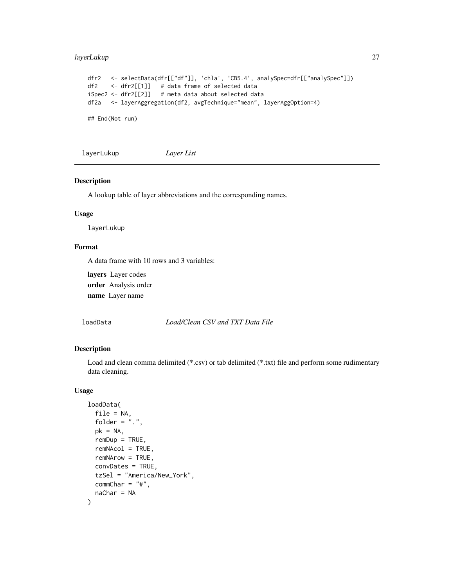# <span id="page-26-0"></span>layerLukup 27

```
dfr2 <- selectData(dfr[["df"]], 'chla', 'CB5.4', analySpec=dfr[["analySpec"]])
df2 <- dfr2[[1]] # data frame of selected data
iSpec2 <- dfr2[[2]] # meta data about selected data
df2a <- layerAggregation(df2, avgTechnique="mean", layerAggOption=4)
```
## End(Not run)

layerLukup *Layer List*

### Description

A lookup table of layer abbreviations and the corresponding names.

#### Usage

layerLukup

# Format

A data frame with 10 rows and 3 variables:

layers Layer codes order Analysis order name Layer name

loadData *Load/Clean CSV and TXT Data File*

# Description

Load and clean comma delimited (\*.csv) or tab delimited (\*.txt) file and perform some rudimentary data cleaning.

# Usage

```
loadData(
 file = NA,
  folder = ".".pk = NA,
  remDup = TRUE,remNAcol = TRUE,
  remNArow = TRUE,
 convDates = TRUE,
  tzSel = "America/New_York",
 commChar = "#",
  naChar = NA
)
```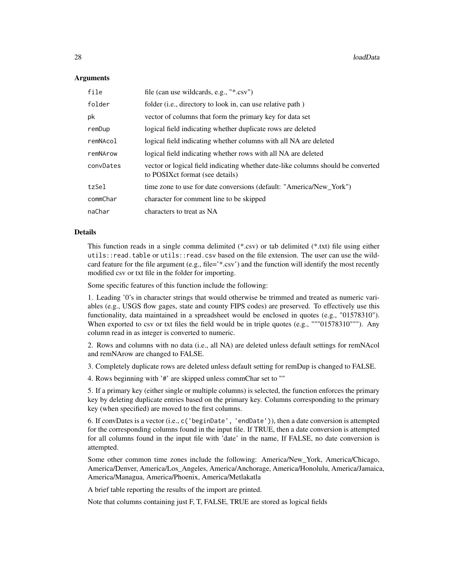#### Arguments

| file      | file (can use wildcards, e.g., "*.csv")                                                                              |
|-----------|----------------------------------------------------------------------------------------------------------------------|
| folder    | folder (i.e., directory to look in, can use relative path)                                                           |
| pk        | vector of columns that form the primary key for data set                                                             |
| remDup    | logical field indicating whether duplicate rows are deleted                                                          |
| remNAcol  | logical field indicating whether columns with all NA are deleted                                                     |
| remNArow  | logical field indicating whether rows with all NA are deleted                                                        |
| convDates | vector or logical field indicating whether date-like columns should be converted<br>to POSIX ct format (see details) |
| tzSel     | time zone to use for date conversions (default: "America/New_York")                                                  |
| commChar  | character for comment line to be skipped                                                                             |
| naChar    | characters to treat as NA                                                                                            |

#### Details

This function reads in a single comma delimited (\*.csv) or tab delimited (\*.txt) file using either utils::read.table or utils::read.csv based on the file extension. The user can use the wildcard feature for the file argument (e.g., file=' $*$ .csv') and the function will identify the most recently modified csv or txt file in the folder for importing.

Some specific features of this function include the following:

1. Leading '0's in character strings that would otherwise be trimmed and treated as numeric variables (e.g., USGS flow gages, state and county FIPS codes) are preserved. To effectively use this functionality, data maintained in a spreadsheet would be enclosed in quotes (e.g., "01578310"). When exported to csv or txt files the field would be in triple quotes (e.g., """01578310"""). Any column read in as integer is converted to numeric.

2. Rows and columns with no data (i.e., all NA) are deleted unless default settings for remNAcol and remNArow are changed to FALSE.

3. Completely duplicate rows are deleted unless default setting for remDup is changed to FALSE.

4. Rows beginning with '#' are skipped unless commChar set to ""

5. If a primary key (either single or multiple columns) is selected, the function enforces the primary key by deleting duplicate entries based on the primary key. Columns corresponding to the primary key (when specified) are moved to the first columns.

6. If convDates is a vector (i.e., c('beginDate', 'endDate')), then a date conversion is attempted for the corresponding columns found in the input file. If TRUE, then a date conversion is attempted for all columns found in the input file with 'date' in the name, If FALSE, no date conversion is attempted.

Some other common time zones include the following: America/New\_York, America/Chicago, America/Denver, America/Los\_Angeles, America/Anchorage, America/Honolulu, America/Jamaica, America/Managua, America/Phoenix, America/Metlakatla

A brief table reporting the results of the import are printed.

Note that columns containing just F, T, FALSE, TRUE are stored as logical fields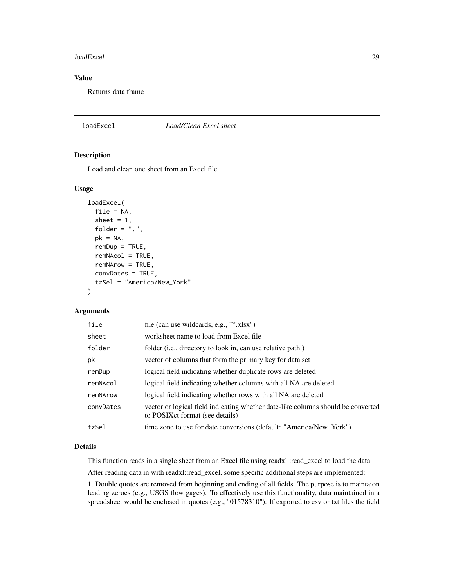#### <span id="page-28-0"></span>loadExcel 29

# Value

Returns data frame

#### loadExcel *Load/Clean Excel sheet*

# Description

Load and clean one sheet from an Excel file

#### Usage

```
loadExcel(
  file = NA,
  sheet = 1,
  folder = ".",
  pk = NA,
  remDup = TRUE,
  remNAcol = TRUE,
  remNArow = TRUE,
  convDates = TRUE,
  tzSel = "America/New_York"
)
```
#### Arguments

| file      | file (can use wildcards, e.g., "*.xlsx")                                                                             |
|-----------|----------------------------------------------------------------------------------------------------------------------|
| sheet     | worksheet name to load from Excel file                                                                               |
| folder    | folder (i.e., directory to look in, can use relative path)                                                           |
| pk        | vector of columns that form the primary key for data set                                                             |
| remDup    | logical field indicating whether duplicate rows are deleted                                                          |
| remNAcol  | logical field indicating whether columns with all NA are deleted                                                     |
| remNArow  | logical field indicating whether rows with all NA are deleted                                                        |
| convDates | vector or logical field indicating whether date-like columns should be converted<br>to POSIX ct format (see details) |
| tzSel     | time zone to use for date conversions (default: "America/New_York")                                                  |
|           |                                                                                                                      |

# Details

This function reads in a single sheet from an Excel file using readxl::read\_excel to load the data

After reading data in with readxl::read\_excel, some specific additional steps are implemented:

1. Double quotes are removed from beginning and ending of all fields. The purpose is to maintaion leading zeroes (e.g., USGS flow gages). To effectively use this functionality, data maintained in a spreadsheet would be enclosed in quotes (e.g., "01578310"). If exported to csv or txt files the field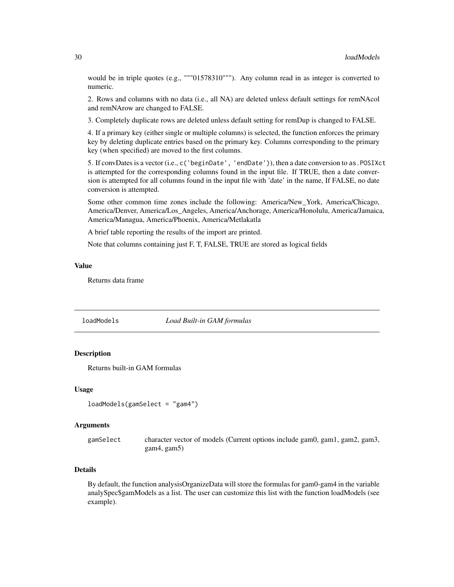<span id="page-29-0"></span>would be in triple quotes (e.g., ""'01578310"'"). Any column read in as integer is converted to numeric.

2. Rows and columns with no data (i.e., all NA) are deleted unless default settings for remNAcol and remNArow are changed to FALSE.

3. Completely duplicate rows are deleted unless default setting for remDup is changed to FALSE.

4. If a primary key (either single or multiple columns) is selected, the function enforces the primary key by deleting duplicate entries based on the primary key. Columns corresponding to the primary key (when specified) are moved to the first columns.

5. If convDates is a vector (i.e., c('beginDate', 'endDate')), then a date conversion to as.POSIXct is attempted for the corresponding columns found in the input file. If TRUE, then a date conversion is attempted for all columns found in the input file with 'date' in the name, If FALSE, no date conversion is attempted.

Some other common time zones include the following: America/New\_York, America/Chicago, America/Denver, America/Los\_Angeles, America/Anchorage, America/Honolulu, America/Jamaica, America/Managua, America/Phoenix, America/Metlakatla

A brief table reporting the results of the import are printed.

Note that columns containing just F, T, FALSE, TRUE are stored as logical fields

#### Value

Returns data frame

loadModels *Load Built-in GAM formulas*

#### Description

Returns built-in GAM formulas

#### Usage

loadModels(gamSelect = "gam4")

#### Arguments

gamSelect character vector of models (Current options include gam0, gam1, gam2, gam3, gam4, gam5)

#### Details

By default, the function analysisOrganizeData will store the formulas for gam0-gam4 in the variable analySpec\$gamModels as a list. The user can customize this list with the function loadModels (see example).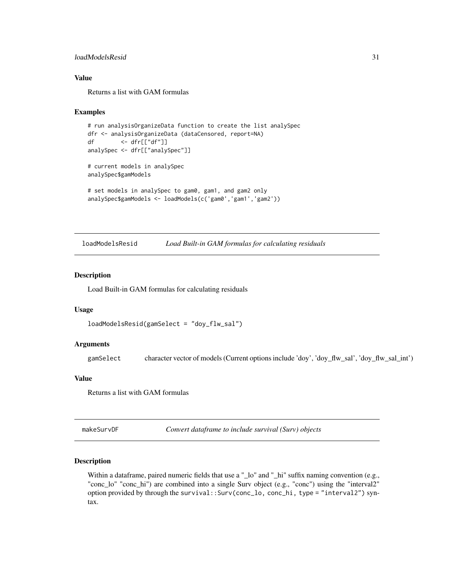# <span id="page-30-0"></span>loadModelsResid 31

# Value

Returns a list with GAM formulas

#### Examples

```
# run analysisOrganizeData function to create the list analySpec
dfr <- analysisOrganizeData (dataCensored, report=NA)
df <- dfr[["df"]]
analySpec <- dfr[["analySpec"]]
# current models in analySpec
analySpec$gamModels
# set models in analySpec to gam0, gam1, and gam2 only
analySpec$gamModels <- loadModels(c('gam0','gam1','gam2'))
```
loadModelsResid *Load Built-in GAM formulas for calculating residuals*

#### Description

Load Built-in GAM formulas for calculating residuals

#### Usage

```
loadModelsResid(gamSelect = "doy_flw_sal")
```
#### Arguments

gamSelect character vector of models (Current options include 'doy', 'doy\_flw\_sal', 'doy\_flw\_sal\_int')

### Value

Returns a list with GAM formulas

<span id="page-30-1"></span>makeSurvDF *Convert dataframe to include survival (Surv) objects*

#### Description

Within a dataframe, paired numeric fields that use a "\_lo" and "\_hi" suffix naming convention (e.g., "conc\_lo" "conc\_hi") are combined into a single Surv object (e.g., "conc") using the "interval2" option provided by through the survival::Surv(conc\_lo, conc\_hi, type = "interval2") syntax.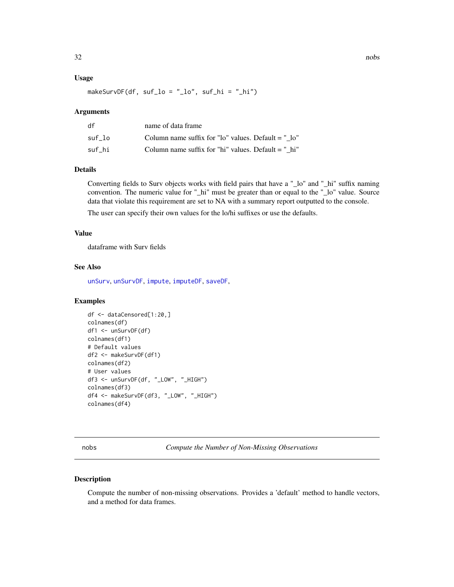#### <span id="page-31-0"></span>Usage

makeSurvDF(df, suf\_lo = "\_lo", suf\_hi = "\_hi")

#### Arguments

| df     | name of data frame                                    |
|--------|-------------------------------------------------------|
| suf lo | Column name suffix for "lo" values. Default $=$ " lo" |
| suf hi | Column name suffix for "hi" values. Default $=$ " hi" |

#### Details

Converting fields to Surv objects works with field pairs that have a "\_lo" and "\_hi" suffix naming convention. The numeric value for "\_hi" must be greater than or equal to the "\_lo" value. Source data that violate this requirement are set to NA with a summary report outputted to the console.

The user can specify their own values for the lo/hi suffixes or use the defaults.

# Value

dataframe with Surv fields

#### See Also

[unSurv](#page-39-1), [unSurvDF](#page-40-1), [impute](#page-23-1), [imputeDF](#page-24-1), [saveDF](#page-34-1),

# Examples

```
df <- dataCensored[1:20,]
colnames(df)
df1 <- unSurvDF(df)
colnames(df1)
# Default values
df2 <- makeSurvDF(df1)
colnames(df2)
# User values
df3 <- unSurvDF(df, "_LOW", "_HIGH")
colnames(df3)
df4 <- makeSurvDF(df3, "_LOW", "_HIGH")
colnames(df4)
```
nobs *Compute the Number of Non-Missing Observations*

#### Description

Compute the number of non-missing observations. Provides a 'default' method to handle vectors, and a method for data frames.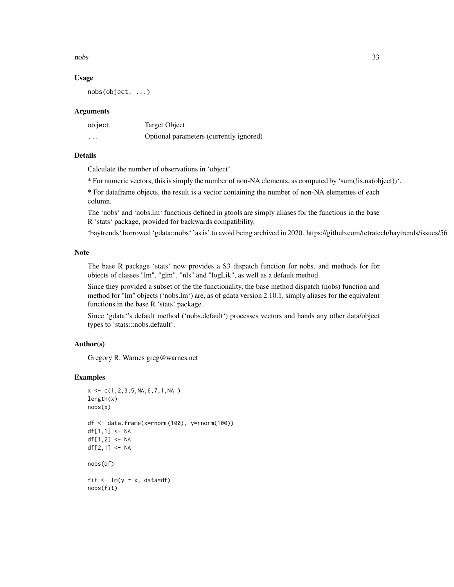$\frac{1}{33}$ 

#### Usage

nobs(object, ...)

#### **Arguments**

| object   | Target Object                           |
|----------|-----------------------------------------|
| $\cdots$ | Optional parameters (currently ignored) |

# Details

Calculate the number of observations in 'object'.

\* For numeric vectors, this is simply the number of non-NA elements, as computed by 'sum(!is.na(object))'.

\* For dataframe objects, the result is a vector containing the number of non-NA elementes of each column.

The 'nobs' and 'nobs.lm' functions defined in gtools are simply aliases for the functions in the base R 'stats' package, provided for backwards compatibility.

'baytrends' borrowed 'gdata::nobs' 'as is' to avoid being archived in 2020. https://github.com/tetratech/baytrends/issues/56

#### **Note**

The base R package 'stats' now provides a S3 dispatch function for nobs, and methods for for objects of classes "lm", "glm", "nls" and "logLik", as well as a default method.

Since they provided a subset of the the functionality, the base method dispatch (nobs) function and method for "lm" objects ('nobs.lm') are, as of gdata version 2.10.1, simply aliases for the equivalent functions in the base R 'stats' package.

Since 'gdata''s default method ('nobs.default') processes vectors and hands any other data/object types to 'stats:::nobs.default'.

#### Author(s)

Gregory R. Warnes greg@warnes.net

```
x \leftarrow c(1, 2, 3, 5, NA, 6, 7, 1, NA)length(x)
nobs(x)
df <- data.frame(x=rnorm(100), y=rnorm(100))
df[1,1] < -NAdf[1,2] <- NA
df[2,1] <- NA
nobs(df)
fit \leq -\ln(y \sim x, \text{ data=df})nobs(fit)
```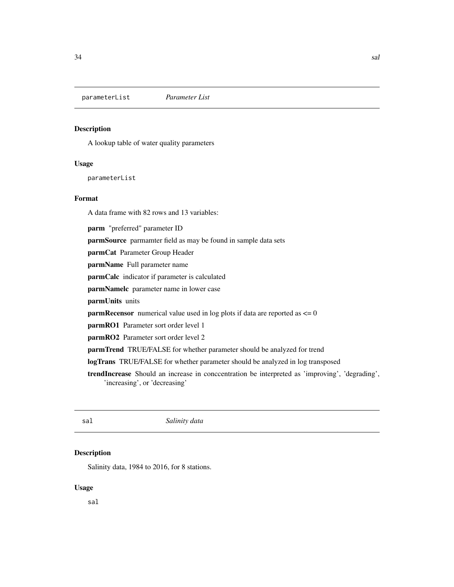<span id="page-33-0"></span>parameterList *Parameter List*

#### Description

A lookup table of water quality parameters

#### Usage

parameterList

# Format

A data frame with 82 rows and 13 variables:

parm "preferred" parameter ID

parmSource parmamter field as may be found in sample data sets

parmCat Parameter Group Header

parmName Full parameter name

parmCalc indicator if parameter is calculated

parmNamelc parameter name in lower case

parmUnits units

**parmRecensor** numerical value used in log plots if data are reported as  $\leq 0$ 

parmRO1 Parameter sort order level 1

parmRO2 Parameter sort order level 2

parmTrend TRUE/FALSE for whether parameter should be analyzed for trend

logTrans TRUE/FALSE for whether parameter should be analyzed in log transposed

trendIncrease Should an increase in conccentration be interpreted as 'improving', 'degrading', 'increasing', or 'decreasing'

sal *Salinity data*

# Description

Salinity data, 1984 to 2016, for 8 stations.

#### Usage

sal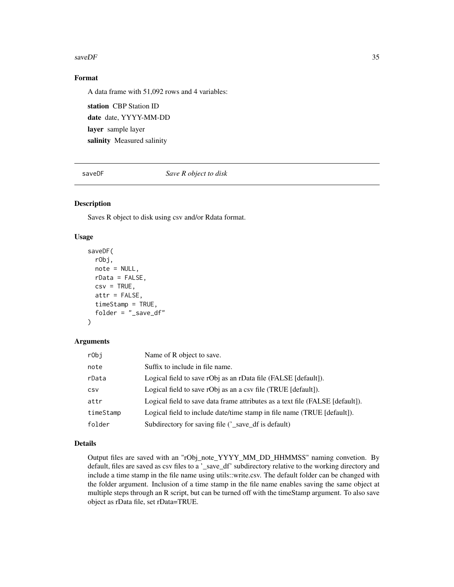#### <span id="page-34-0"></span> $saveDF$  35

# Format

A data frame with 51,092 rows and 4 variables:

station CBP Station ID date date, YYYY-MM-DD layer sample layer salinity Measured salinity

<span id="page-34-1"></span>saveDF *Save R object to disk*

# Description

Saves R object to disk using csv and/or Rdata format.

# Usage

```
saveDF(
  rObj,
 note = NULL,
 rData = FALSE,
 csv = TRUE,attr = FALSE,
  timeStamp = TRUE,
  folder = "_save_df"
)
```
### Arguments

| rObj       | Name of R object to save.                                                     |
|------------|-------------------------------------------------------------------------------|
| note       | Suffix to include in file name.                                               |
| rData      | Logical field to save rObj as an rData file (FALSE [default]).                |
| <b>CSV</b> | Logical field to save rObj as an a csy file (TRUE [default]).                 |
| attr       | Logical field to save data frame attributes as a text file (FALSE [default]). |
| timeStamp  | Logical field to include date/time stamp in file name (TRUE [default]).       |
| folder     | Subdirectory for saving file ('_save_df is default)                           |

# Details

Output files are saved with an "rObj\_note\_YYYY\_MM\_DD\_HHMMSS" naming convetion. By default, files are saved as csv files to a '\_save\_df' subdirectory relative to the working directory and include a time stamp in the file name using utils::write.csv. The default folder can be changed with the folder argument. Inclusion of a time stamp in the file name enables saving the same object at multiple steps through an R script, but can be turned off with the timeStamp argument. To also save object as rData file, set rData=TRUE.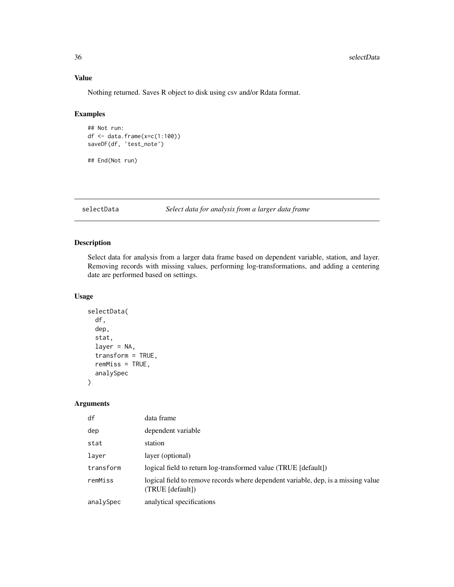# <span id="page-35-0"></span>Value

Nothing returned. Saves R object to disk using csv and/or Rdata format.

# Examples

```
## Not run:
df <- data.frame(x=c(1:100))
saveDF(df, 'test_note')
## End(Not run)
```
selectData *Select data for analysis from a larger data frame*

# Description

Select data for analysis from a larger data frame based on dependent variable, station, and layer. Removing records with missing values, performing log-transformations, and adding a centering date are performed based on settings.

# Usage

```
selectData(
  df,
  dep,
  stat,
  layer = NA,
  transform = TRUE,
  remMiss = TRUE,
  analySpec
)
```
# Arguments

| df        | data frame                                                                                            |
|-----------|-------------------------------------------------------------------------------------------------------|
| dep       | dependent variable                                                                                    |
| stat      | station                                                                                               |
| layer     | layer (optional)                                                                                      |
| transform | logical field to return log-transformed value (TRUE [default])                                        |
| remMiss   | logical field to remove records where dependent variable, dep, is a missing value<br>(TRUE [default]) |
| analySpec | analytical specifications                                                                             |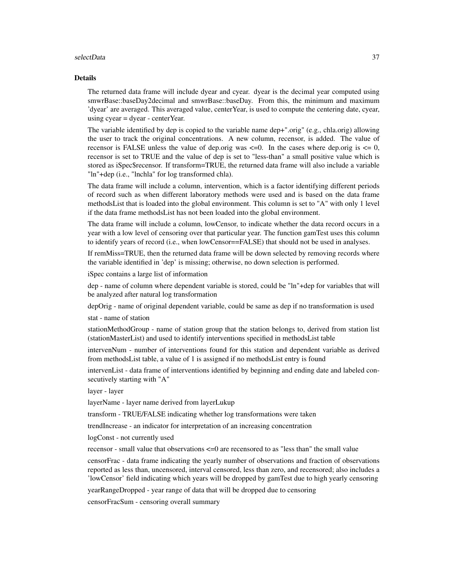#### selectData 37

#### Details

The returned data frame will include dyear and cyear. dyear is the decimal year computed using smwrBase::baseDay2decimal and smwrBase::baseDay. From this, the minimum and maximum 'dyear' are averaged. This averaged value, centerYear, is used to compute the centering date, cyear, using cyear = dyear - centerYear.

The variable identified by dep is copied to the variable name dep+".orig" (e.g., chla.orig) allowing the user to track the original concentrations. A new column, recensor, is added. The value of recensor is FALSE unless the value of dep.orig was  $\leq 0$ . In the cases where dep.orig is  $\leq 0$ , recensor is set to TRUE and the value of dep is set to "less-than" a small positive value which is stored as iSpec\$recensor. If transform=TRUE, the returned data frame will also include a variable "ln"+dep (i.e., "lnchla" for log transformed chla).

The data frame will include a column, intervention, which is a factor identifying different periods of record such as when different laboratory methods were used and is based on the data frame methodsList that is loaded into the global environment. This column is set to "A" with only 1 level if the data frame methodsList has not been loaded into the global environment.

The data frame will include a column, lowCensor, to indicate whether the data record occurs in a year with a low level of censoring over that particular year. The function gamTest uses this column to identify years of record (i.e., when lowCensor==FALSE) that should not be used in analyses.

If remMiss=TRUE, then the returned data frame will be down selected by removing records where the variable identified in 'dep' is missing; otherwise, no down selection is performed.

iSpec contains a large list of information

dep - name of column where dependent variable is stored, could be "ln"+dep for variables that will be analyzed after natural log transformation

depOrig - name of original dependent variable, could be same as dep if no transformation is used

stat - name of station

stationMethodGroup - name of station group that the station belongs to, derived from station list (stationMasterList) and used to identify interventions specified in methodsList table

intervenNum - number of interventions found for this station and dependent variable as derived from methodsList table, a value of 1 is assigned if no methodsList entry is found

intervenList - data frame of interventions identified by beginning and ending date and labeled consecutively starting with "A"

layer - layer

layerName - layer name derived from layerLukup

transform - TRUE/FALSE indicating whether log transformations were taken

trendIncrease - an indicator for interpretation of an increasing concentration

logConst - not currently used

recensor - small value that observations <=0 are recensored to as "less than" the small value

censorFrac - data frame indicating the yearly number of observations and fraction of observations reported as less than, uncensored, interval censored, less than zero, and recensored; also includes a 'lowCensor' field indicating which years will be dropped by gamTest due to high yearly censoring

yearRangeDropped - year range of data that will be dropped due to censoring

censorFracSum - censoring overall summary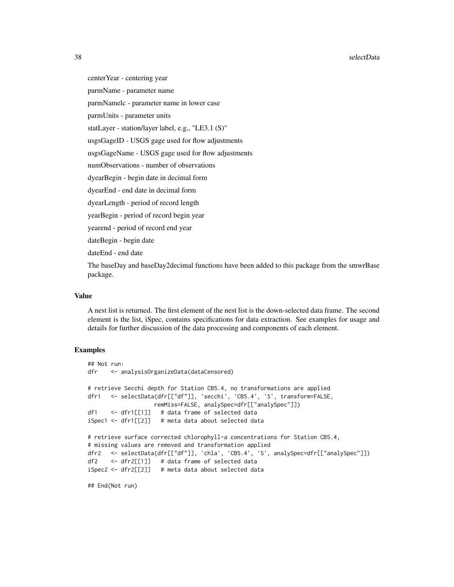centerYear - centering year

parmName - parameter name

parmNamelc - parameter name in lower case

parmUnits - parameter units

statLayer - station/layer label, e.g., "LE3.1 (S)"

usgsGageID - USGS gage used for flow adjustments

usgsGageName - USGS gage used for flow adjustments

numObservations - number of observations

dyearBegin - begin date in decimal form

dyearEnd - end date in decimal form

dyearLength - period of record length

yearBegin - period of record begin year

yearend - period of record end year

dateBegin - begin date

dateEnd - end date

The baseDay and baseDay2decimal functions have been added to this package from the smwrBase package.

# Value

A nest list is returned. The first element of the nest list is the down-selected data frame. The second element is the list, iSpec, contains specifications for data extraction. See examples for usage and details for further discussion of the data processing and components of each element.

#### Examples

```
## Not run:
dfr <- analysisOrganizeData(dataCensored)
# retrieve Secchi depth for Station CB5.4, no transformations are applied
dfr1 <- selectData(dfr[["df"]], 'secchi', 'CB5.4', 'S', transform=FALSE,
                   remMiss=FALSE, analySpec=dfr[["analySpec"]])
df1 <- dfr1[[1]] # data frame of selected data
iSpec1 <- dfr1[[2]] # meta data about selected data
# retrieve surface corrected chlorophyll-a concentrations for Station CB5.4,
# missing values are removed and transformation applied
dfr2 <- selectData(dfr[["df"]], 'chla', 'CB5.4', 'S', analySpec=dfr[["analySpec"]])
df2 <- dfr2[[1]] # data frame of selected data
iSpec2 <- dfr2[[2]] # meta data about selected data
```
## End(Not run)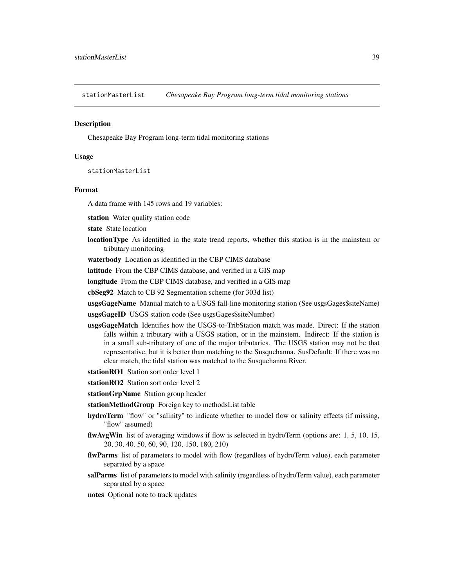<span id="page-38-0"></span>stationMasterList *Chesapeake Bay Program long-term tidal monitoring stations*

#### **Description**

Chesapeake Bay Program long-term tidal monitoring stations

#### Usage

stationMasterList

#### Format

A data frame with 145 rows and 19 variables:

station Water quality station code

- state State location
- locationType As identified in the state trend reports, whether this station is in the mainstem or tributary monitoring

waterbody Location as identified in the CBP CIMS database

latitude From the CBP CIMS database, and verified in a GIS map

longitude From the CBP CIMS database, and verified in a GIS map

cbSeg92 Match to CB 92 Segmentation scheme (for 303d list)

usgsGageName Manual match to a USGS fall-line monitoring station (See usgsGages\$siteName)

usgsGageID USGS station code (See usgsGages\$siteNumber)

- usgsGageMatch Identifies how the USGS-to-TribStation match was made. Direct: If the station falls within a tributary with a USGS station, or in the mainstem. Indirect: If the station is in a small sub-tributary of one of the major tributaries. The USGS station may not be that representative, but it is better than matching to the Susquehanna. SusDefault: If there was no clear match, the tidal station was matched to the Susquehanna River.
- stationRO1 Station sort order level 1
- stationRO2 Station sort order level 2
- stationGrpName Station group header

stationMethodGroup Foreign key to methodsList table

- hydroTerm "flow" or "salinity" to indicate whether to model flow or salinity effects (if missing, "flow" assumed)
- flwAvgWin list of averaging windows if flow is selected in hydroTerm (options are: 1, 5, 10, 15, 20, 30, 40, 50, 60, 90, 120, 150, 180, 210)
- flwParms list of parameters to model with flow (regardless of hydroTerm value), each parameter separated by a space
- salParms list of parameters to model with salinity (regardless of hydroTerm value), each parameter separated by a space
- notes Optional note to track updates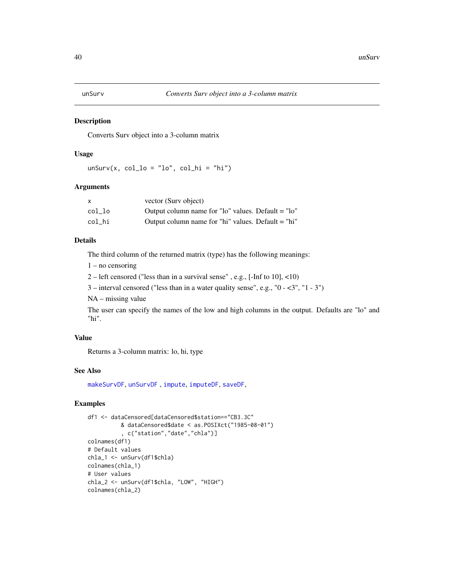<span id="page-39-1"></span><span id="page-39-0"></span>

Converts Surv object into a 3-column matrix

### Usage

 $unSurv(x, col_lo = "lo", col_hi = "hi")$ 

# Arguments

|        | vector (Surv object)                               |
|--------|----------------------------------------------------|
| col lo | Output column name for "lo" values. Default = "lo" |
| col hi | Output column name for "hi" values. Default = "hi" |

# Details

The third column of the returned matrix (type) has the following meanings:

1 – no censoring

2 – left censored ("less than in a survival sense" , e.g., [-Inf to 10], <10)

3 – interval censored ("less than in a water quality sense", e.g., "0 - <3", "1 - 3")

NA – missing value

The user can specify the names of the low and high columns in the output. Defaults are "lo" and "hi".

# Value

Returns a 3-column matrix: lo, hi, type

# See Also

[makeSurvDF](#page-30-1), [unSurvDF](#page-40-1) , [impute](#page-23-1), [imputeDF](#page-24-1), [saveDF](#page-34-1),

```
df1 <- dataCensored[dataCensored$station=="CB3.3C"
         & dataCensored$date < as.POSIXct("1985-08-01")
          , c("station","date","chla")]
colnames(df1)
# Default values
chla_1 <- unSurv(df1$chla)
colnames(chla_1)
# User values
chla_2 <- unSurv(df1$chla, "LOW", "HIGH")
colnames(chla_2)
```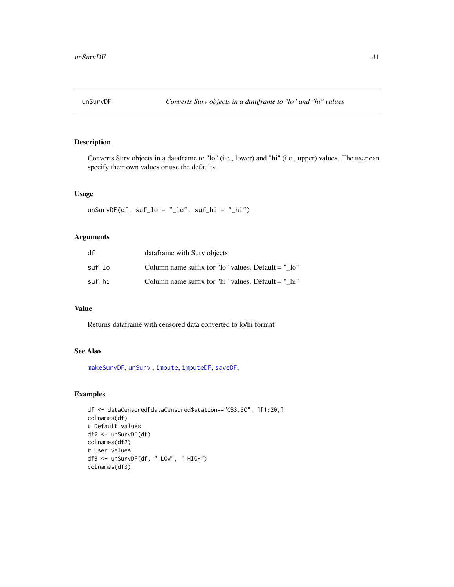<span id="page-40-1"></span><span id="page-40-0"></span>

Converts Surv objects in a dataframe to "lo" (i.e., lower) and "hi" (i.e., upper) values. The user can specify their own values or use the defaults.

# Usage

 $unSurvDF(df, suf_lo = "lo", suf_hi = "hi")$ 

# Arguments

| df     | dataframe with Surv objects                           |
|--------|-------------------------------------------------------|
| suf lo | Column name suffix for "lo" values. Default $=$ " lo" |
| suf hi | Column name suffix for "hi" values. Default $=$ "hi"  |

# Value

Returns dataframe with censored data converted to lo/hi format

# See Also

[makeSurvDF](#page-30-1), [unSurv](#page-39-1) , [impute](#page-23-1), [imputeDF](#page-24-1), [saveDF](#page-34-1),

```
df <- dataCensored[dataCensored$station=="CB3.3C", ][1:20,]
colnames(df)
# Default values
df2 <- unSurvDF(df)
colnames(df2)
# User values
df3 <- unSurvDF(df, "_LOW", "_HIGH")
colnames(df3)
```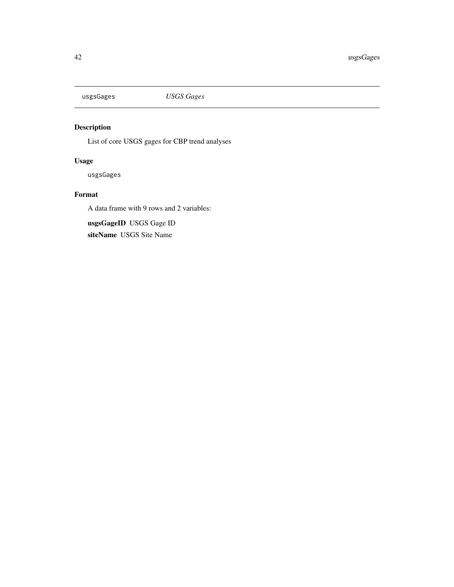<span id="page-41-0"></span>

List of core USGS gages for CBP trend analyses

# Usage

usgsGages

# Format

A data frame with 9 rows and 2 variables:

usgsGageID USGS Gage ID siteName USGS Site Name